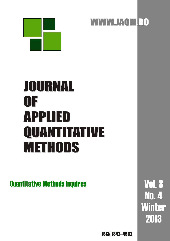

# JOURNAL JOURNAL OF OF APPLIED APPLIED QUANTITATIVE QUANTITATIVE METHODS METHODS

# Quantitative Methods Inquires Vol.8

No. 4 Winter 2013

ISSN 1842–4562

WWW.JAQM.RO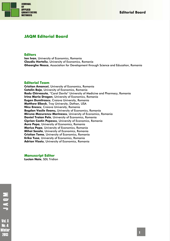

# **JAQM Editorial Board**

#### **Editors**

**Ion Ivan**, University of Economics, Romania **Claudiu Herteliu**, University of Economics, Romania **Gheorghe Nosca**, Association for Development through Science and Education, Romania

#### **Editorial Team**

**Cristian Amancei**, University of Economics, Romania **Catalin Boja**, University of Economics, Romania **Radu Chirvasuta**, "Carol Davila" University of Medicine and Pharmacy, Romania **Irina Maria Dragan**, University of Economics, Romania **Eugen Dumitrascu**, Craiova University, Romania **Matthew Elbeck**, Troy University, Dothan, USA **Nicu Enescu**, Craiova University, Romania **Bogdan Vasile Ileanu,** University of Economics, Romania **Miruna Mazurencu Marinescu**, University of Economics, Romania **Daniel Traian Pele**, University of Economics, Romania **Ciprian Costin Popescu**, University of Economics, Romania **Aura Popa**, University of Economics, Romania **Marius Popa**, University of Economics, Romania **Mihai Sacala**, University of Economics, Romania **Cristian Toma**, University of Economics, Romania **Erika Tusa**, University of Economics, Romania **Adrian Visoiu**, University of Economics, Romania

**Manuscript Editor** 

**Lucian Naie**, SDL Tridion

**Vol. 8 No. 4** Winter 2013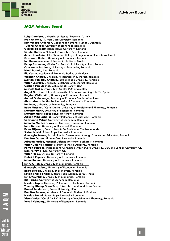

# **JAQM Advisory Board**

**Luigi D'Ambra,** University of Naples "Federico II", Italy **Ioan Andone,** Al. Ioan Cuza University, Romania **Kim Viborg Andersen,** Copenhagen Business School, Denmark **Tudorel Andrei,** University of Economics, Romania **Gabriel Badescu,** Babes-Bolyai University, Romania **Catalin Balescu,** National University of Arts, Romania **Avner Ben-Yair,** SCE - Shamoon College of Engineering, Beer-Sheva, Israel **Constanta Bodea,** University of Economics, Romania **Ion Bolun,** Academy of Economic Studies of Moldova **Recep Boztemur,** Middle East Technical University Ankara, Turkey **Constantin Bratianu,** University of Economics, Romania **Irinel Burloiu,** Intel Romania **Ilie Costas,** Academy of Economic Studies of Moldova **Valentin Cristea,** University Politehnica of Bucharest, Romania **Marian-Pompiliu Cristescu,** Lucian Blaga University, Romania **Victor Croitoru,** University Politehnica of Bucharest, Romania **Cristian Pop Eleches,** Columbia University, USA **Michele Gallo,** University of Naples L'Orientale, Italy **Angel Garrido,** National University of Distance Learning (UNED), Spain **Bogdan Ghilic Micu,** University of Economics, Romania **Anatol Godonoaga,** Academy of Economic Studies of Moldova **Alexandru Isaic-Maniu,** University of Economics, Romania **Ion Ivan,** University of Economics, Romania **Radu Macovei,** "Carol Davila" University of Medicine and Pharmacy, Romania **Dumitru Marin,** University of Economics, Romania **Dumitru Matis,** Babes-Bolyai University, Romania **Adrian Mihalache,** University Politehnica of Bucharest, Romania **Constantin Mitrut,** University of Economics, Romania **Mihaela Muntean,** Western University Timisoara, Romania **Ioan Neacsu,** University of Bucharest, Romania **Peter Nijkamp,** Free University De Boelelaan, The Nederlands **Stefan Nitchi,** Babes-Bolyai University, Romania **Gheorghe Nosca,** Association for Development through Science and Education, Romania **Dumitru Oprea,** Al. Ioan Cuza University, Romania **Adriean Parlog,** National Defense University, Bucharest, Romania **Victor Valeriu Patriciu,** Military Technical Academy, Romania **Perran Penrose,** Independent, Connected with Harvard University, USA and London University, UK **Dan Petrovici,** Kent University, UK **Victor Ploae,** Ovidius University, Romania **Gabriel Popescu,** University of Economics, Romania **Mihai Roman,** University of Economics, Romania **Ion Gh. Rosca,** University of Economics, Romania **Gheorghe Sabau,** University of Economics, Romania **Radu Serban,** University of Economics, Romania **Satish Chand Sharma,** Janta Vedic College, Baraut, India **Ion Smeureanu,** University of Economics, Romania **Ilie Tamas,** University of Economics, Romania **Nicolae Tapus,** University Politehnica of Bucharest, Romania **Timothy Kheng Guan Teo,** University of Auckland, New Zeeland **Daniel Teodorescu,** Emory University, USA **Dumitru Todoroi,** Academy of Economic Studies of Moldova **Nicolae Tomai,** Babes-Bolyai University, Romania **Victor Voicu,** "Carol Davila" University of Medicine and Pharmacy, Romania

**Vergil Voineagu,** University of Economics, Romania

Vol. 8 Minter 2018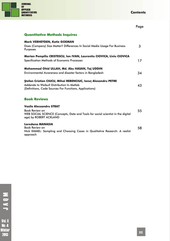

**Contents** 

|                                                                                                                                                                              | Page |
|------------------------------------------------------------------------------------------------------------------------------------------------------------------------------|------|
| <b>Quantitative Methods Inquires</b>                                                                                                                                         |      |
| <b>Mark VERHEYDEN, Katie GOEMAN</b><br>Does (Company) Size Matter? Differences In Social Media Usage For Business<br>Purposes                                                | 3    |
| Marian Pompiliu CRISTESCU, Ion IVAN, Laurentiu CIOVICA, Liviu CIOVICA<br><b>Specification Methods of Economic Processes</b>                                                  | 17   |
| Mohammad Ohid ULLAH, Md. Abu HASAN, Taj UDDIN<br>Environmental Awareness and disaster factors in Bangladesh                                                                  | 34   |
| <b>Ștefan Cristian CIUCU, Mihai REBENCIUC, Ionuț Alexandru PETRE</b><br>Addenda to Weibull Distribution In Matlab<br>(Definitions, Code Sources For Functions, Applications) | 43   |
| <b>Book Reviews</b>                                                                                                                                                          |      |
| <b>Vasile Alecsandru STRAT</b><br><b>Book Review on</b><br>WEB SOCIAL SCIENCE (Concepts, Data and Tools for social scientist in the digital<br>age) by ROBERT ACKLAND        | 55   |
| Loredana MANASIA<br>Book Review on<br>Nick EMMEL: Sampling and Choosing Cases in Qualitative Research. A realist<br>approach                                                 | 58   |

NOVIC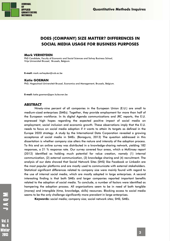

# **DOES (COMPANY) SIZE MATTER? DIFFERENCES IN SOCIAL MEDIA USAGE FOR BUSINESS PURPOSES**

#### **Mark VERHEYDEN**

PhD Candidate, Faculty of Economic and Social Sciences and Solvay Business School, Vrije Universiteit Brussel, Brussels, Belgium.

**E-mail:** mark.verheyden@vub.ac.be

#### **Katie GOEMAN**

PhD, Hogeschool-Universiteit Brussel, Economics and Management, Brussels, Belgium.

**E-mail:** katie.goeman@ppw.kuleuven.be

#### **ABSTRACT**

Ninety-nine percent of all companies in the European Union (E.U.) are small to medium-sized enterprises (SMEs). Together, they provide employment for more than half of the European workforce. In its digital Agenda communications and JRC reports, the E.U. expressed high hopes regarding the expected positive impact of social media on employment, social inclusion and economic growth. These observations imply that the E.U. needs to focus on social media adoption if it wants to attain its targets as defined in the Europe 2020 strategy. A study by the International Data Corporation revealed a growing acceptance of social media in SMEs. (Bonagura, 2013) The question addressed in this dissertation is whether company size alters the nature and intensity of the adoption process. To this end an online survey was distributed in a knowledge-sharing network, yielding 182 responses, a 21 % response rate. Our survey covered four areas, which a McKinsey report (2012) identified as holding much potential for value creation, namely (1) internal communication, (2) external communication, (3) knowledge sharing and (4) recruitment. The analysis of our data showed that Social Network Sites (SNS) like Facebook or Linkedin are the most popular platforms and are mostly used to communicate with external stakeholders. Statistical significant differences related to company size were mainly found with regard to the use of internal social media, which are mostly adopted in large enterprises. A second interesting finding is that both SMEs and larger companies reported important benefits related to the adoption of social media. To conclude, a number of factors were identified as hampering the adoption process. All organizations seem to be in need of both tangible (money) and intangible (time, knowledge, skills) resources. Blocking access to social media seems to be the only challenge significantly more prevalent in large enterprises.

**Keywords:** social media; company size; social network sites; SNS; SMEs.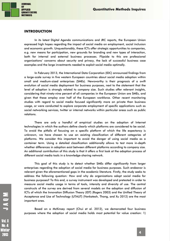

#### **INTRODUCTION**

In its latest Digital Agenda communications and JRC reports, the European Union expressed high hopes regarding the impact of social media on employment, social inclusion and economic growth. Unquestionably, these ICTs offer strategic opportunities to companies, e.g. new means for participation, new grounds for branding and new types of interaction, both for internal and external business processes. Flipside to this are professional organizations' concerns about security and privacy, the lack of successful business case examples and the large investments needed to exploit social media optimally.

In February 2013, the International Data Corporation (IDC) announced findings from a large-scale survey in five western European countries about social media adoption within small and medium-sized enterprises (SMEs). Newsworthy is their prognosis of a swift evolution of social media deployment for business purposes, next to the statement that the level of adoption is strongly related to company size. Such studies offer relevant insights, considering that ninety-nine percent of all companies in the European Union are SMEs, and given that these employ over half of the European workforce. Other recent monitoring studies with regard to social media focused significantly more on private than business usage, or were conducted to explore corporate employment of specific applications such as social networking services, twitter or internal networks within particular areas such as public relations.

There are only a handful of empirical studies on the adoption of Internet technologies in which the authors define clearly which platforms are considered to be social. To avoid the pitfalls of focusing on a specific platform of which the life expectancy is unknown, we have chosen to use an existing classification of different categories of platforms. We consider this important to avoid the danger of using social media as a container term. Using a detailed classification additionally allows to test more in-depth whether differences in adoption exist between different platforms according to company size. An additional contribution of this study is that it offers a first look at the adoption process of different social media tools in a knowledge-sharing network.

This goal of this study is to detect whether SMEs differ significantly from larger enterprises regarding the adoption of social media for business purposes. Such endeavor is relevant given the aforementioned gaps in the academic literature. Firstly, the study seeks to address the following question: How and why do organizations adopt social media for business purposes? To this end, a survey instrument was developed and pretested in order to measure social media usage in terms of tools, intensity and diversity of use. The central constructs of the survey are derived from several models on the adoption and diffusion of ICTs of which the Innovation Diffusion Theory (IDT) (Rogers 2003) and the Unified Theory of Acceptance and Use of Technology (UTAUT) (Venkatesh, Thong, and Xu 2012) are the most important ones.

Based on a McKinsey report (Chui et al. 2012), we demarcated four business purposes where the adoption of social media holds most potential for value creation: 1)

2018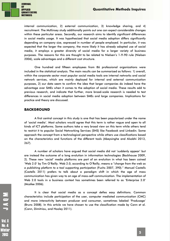

internal communication, 2) external communication, 3) knowledge sharing, and 4) recruitment. The McKinsey study additionally points out one can expect considerable changes within these particular areas. Secondly, our research aims to identify significant differences in social media usage. It was hypothesized that social media adoption differs significantly depending on company size, expressed in number of people employed. In particular, it was expected that the larger the company, the more likely it has already adopted use of social media, it employs a greater diversity of social media for a larger variety of business purposes. The reasons for this are thought to be related to Nielsen's 1-9-90 rule (Nielsen 2006), scale advantages and a different cost structure.

One hundred and fifteen employees from 86 professional organizations were included in the statistical analysis. The main results can be summarized as follows: 1) overall, within the corporate sector most popular social media tools are internal networks and social network services, which are mainly deployed for internal and external communication purposes, 2) our data seem to confirm the idea that larger companies do indeed have the advantage over SMEs when it comes to the adoption of social media. These results add to previous research, and indicate that further, more broad-scale research is needed to test differences in social media adoption between SMEs and large companies. Implications for practice and theory are discussed.

#### **BACKGROUND**

A first central concept in this study is one that has been popularized under the name of 'social media'. Most scholars would agree that this term is rather vague and open to all kinds of ICT platforms. Some authors take a very broad view on this term while others tend to restrict it to popular Social Networking Services (SNS) like Facebook and Linkedin. Some approach the concept from a technological perspective while others use classifications based on the characteristics and functions of the different tools (Abeysinghe and Alsobhi 2013, 267).

A number of scholars have argued that social media did not 'suddenly appear' but are instead the outcome of a long evolution in information technologies (Backhouse 2009, 2). These new 'social' media platforms are part of an evolution in what has been coined 'Web 2.0' by Tim O'Reilly. Web 2.0, according to O'Reilly, means a "*change from the web as a publishing platform to a tool supporting participation* (Fuchs 2007, 390)." Manuel Castells (Castells 2011) prefers to talk about a paradigm shift in which the age of mass communication has given way to an age of mass-self communication. The implementation of Web 2.0 tools in a business context has sometimes been referred to as 'Enterprise 2.0' (Mcafee 2006).

It is clear that social media as a concept defies easy definitions. Common characteristics include participation of the user, computer mediated communication (CMC) and more interactivity between producer and consumer, sometimes labeled 'Produsage' (Bruns 2008). In this article we have chosen to use the classification made by Cann et al. (Cann, Dimitriou, and Hooley 2011).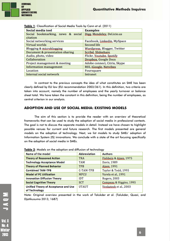

| Social media tool                             | <b>Examples</b>              |  |
|-----------------------------------------------|------------------------------|--|
| Social bookmarking, news & social<br>citation | Digg, Mendeley, Del.icio.us  |  |
| Social networking services                    | Facebook, Linkedin, MySpace  |  |
| Virtual worlds                                | Second life                  |  |
| Blogging & microblogging                      | Wordpress, Blogger, Twitter  |  |
| Document & presentation sharing               | Scribd, Slideshare           |  |
| Audio, photo, video                           | Flickr, Youtube, Spotify     |  |
| Collaboration                                 | Dropbox, Google Docs         |  |
| Project management & meeting                  | Adobe connect, Citrix, Skype |  |
| <b>Information management</b>                 | RSS, iGoogle, Netvibes       |  |
| Location                                      | Foursquare                   |  |
| Internal social network                       | Intranet                     |  |

**Table 1**: Classification of Social Media Tools by Cann et al. (2011)

In contrast to the previous concepts the idea of what constitutes an SME has been clearly defined by EU law (EU recommendation 2003/361). In this definition, two criteria are taken into account, namely the number of employees and the yearly turnover or balance sheet total. We have taken the constant in this definition, being the number of employees, as central criterion in our analysis.

#### **ADOPTION AND USE OF SOCIAL MEDIA: EXISTING MODELS**

The aim of this section is to provide the reader with an overview of theoretical frameworks that can be used to study the adoption of social media in professional contexts. The goal is not to discuss the separate models in detail. Instead we have chosen to highlight possible venues for current and future research. The first models presented are general models on the adoption of technology. Next, we list models to study SMEs' adoption of Information System (IS) innovations. We conclude with a state of the art focusing specifically on the adoption of social media in SMEs.

| Name of the model                                     | <b>Abbreviation</b> | <b>Authors</b>          |
|-------------------------------------------------------|---------------------|-------------------------|
| <b>Theory of Reasoned Action</b>                      | <b>TRA</b>          | Fishbein & Aizen, 1975  |
| <b>Technology Acceptance Model</b>                    | TAM                 | Davis, 1989             |
| <b>Theory of Planned Behavior</b>                     | <b>TPB</b>          | Aizen, 1991             |
| <b>Combined TAM-TPB</b>                               | C-TAM-TPB           | Taylor & Todd, 1995     |
| <b>Model of PC Utilization</b>                        | MPCU                | Varela et al., 1991     |
| <b>Innovation Diffusion Theory</b>                    | IDT                 | <b>Rogers, 2003</b>     |
| <b>Social Cognitive Theory</b>                        | <b>SCT</b>          | Compeau & Higgins, 1995 |
| Unified Theory of Acceptance and Use<br>of Technology | <b>UTAUT</b>        | Venkatesh et al., 2003  |

**Table 2**: Models on the adoption and diffusion of technology

Note: Original overview presented in the work of Talukder et al. (Talukder, Quazi, and Djatikusumo 2013, 1687)

**Vol. 8** No. 4 Winter 2018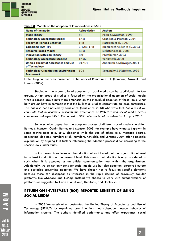

| Name of the model                                              | <b>Abbreviation</b> | <b>Authors</b>               |
|----------------------------------------------------------------|---------------------|------------------------------|
| <b>Stage Theory</b>                                            | ST                  | Poon & Swatman, 1999         |
| <b>Technology Acceptance Model</b>                             | TAM                 | Grandon & Pearson, 2004      |
| <b>Theory of Planned Behavior</b>                              | <b>TPB</b>          | Harrison et al., 1997        |
| <b>Combined TAM-TPB</b>                                        | C-TAM-TPB           | Riemenschneider et al., 2003 |
| <b>Resource-Based Model</b>                                    | <b>RBM</b>          | Mehrtens et al., 2001        |
| <b>Innovation Diffusion Theory</b>                             | IDT                 | Premkumar, 2003              |
| <b>Technology Acceptance Model 2</b>                           | TAM <sub>2</sub>    | Venkatesh, 2000              |
| Unified Theory of Acceptance and Use<br>of Technology          | <b>UTAUT</b>        | Anderson & Schwager, 2004    |
| <b>Technology-Organization-Environment</b><br><b>Framework</b> | <b>TOE</b>          | Tornatzky & Fleischer, 1990  |

**Table 3**: Models on the adoption of IS innovations in SMEs

Note: Original overview presented in the work of Ramdani et al. (Ramdani, Kawalek, and Lorenzo 2009)

Studies on the organizational adoption of social media can be subdivided into two groups. A first group of studies is focused on the organizational adoption of social media while a second group puts more emphasis on the individual adoption of these tools. What both groups have in common is that the bulk of all studies concentrate on large enterprises. This has also been noticed by Peris et al. (Peris et al. 2013) who write that: "*as a result we can state that in academic research the acceptance of Web 2.0 and social media across companies and especially in the context of SME networks is not considered so far* (p. 2795)."

Some scholars argue that the adoption process of different social media can differ. Barnes & Mattson (Ganim Barnes and Mattson 2009) for example have witnessed growth in some technologies (e.g. SNS, Blogging) while the use of others (e.g. message boards, podcasting) declines. Ramdani et al. (Ramdani, Kawalek, and Lorenzo 2009) offer a possible explanation by arguing that factors influencing the adoption process differ according to the specific tools under study.

In this research we focus on the adoption of social media at the organizational level in contrast to adoption at the personal level. This means that adoption is only considered as such when it is accepted as an official communication tool within the organization. Additionally, we do not only consider social media use but also adoption, perceived output and obstacles preventing adoption. We have chosen not to focus on specific platforms because these can disappear as witnessed in the rapid decline of previously popular platforms like *MySpace* and *Netlog*. Instead we choose to work with categorizations of platforms as suggested by Cann et al. (Cann, Dimitriou, and Hooley 2011).

# **RETURN ON INVESTMENT (ROI): REPORTED BENEFITS OF USING SOCIAL MEDIA**

In 2003 Venkatesh et al. postulated the Unified Theory of Acceptance and Use of Technology (UTAUT) for explaining user intentions and subsequent usage behavior of information systems. The authors identified performance and effort expectancy, social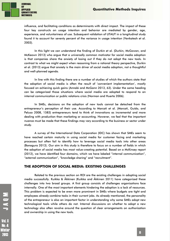

influence, and facilitating conditions as determinants with direct impact. The impact of these four key constructs on usage intention and behavior are mediated by gender, age, experience, and voluntariness of use. Subsequent validation of UTAUT in a longitudinal study found it to account for seventy percent of the variance in usage intention (Venkatesh et al. 2003).

In this light we can understand the finding of Durkin et al. (Durkin, McGowan, and McKeown 2013) who argue that a universally common motivator for social media adoption is that companies share the anxiety of losing out if they do not adopt the new tools. In contrast to what we might expect when reasoning from a rational theory perspective, Durkin et al. (2013) argue that anxiety is the main driver of social media adoption, not a thoughtful and well-planned agenda.

In line with this finding there are a number of studies of which the authors state that the adoption of social media is often the result of 'convenient implementation', mostly focused on achieving quick gains (Annabi and McGann 2013, 63). Under the same heading can be categorized those situations where social media are adopted to respond to an internal communication or public relations crisis (Norman and Huerta 2006).

In SMEs, decisions on the adoption of new tools cannot be detached from the entrepreneur's perception of their use. According to Marcati et al. (Marcati, Guido, and Peluso 2008, 1583) entrepreneurs tend to think of innovations as incremental and more dealing with production than marketing or accounting. However, we feel that the important nuance must be made that these findings may vary according to the business or sector under study.

A survey of the International Data Corporation (IDC) has shown that SMEs seem to have reached certain maturity in using social media for customer facing and marketing processes but often fail to identify how to leverage social media tools into other areas (Bonagura 2013). Our aim in this study is therefore to focus on a number of fields in which the adoption of social media has most value-creating potential. Based on a McKinsey report (2012), we have identified four domains, which we have labeled "internal communication", "external communication", "knowledge sharing" and "recruitment".

#### **THE ADOPTION OF SOCIAL MEDIA: EXISTING CHALLENGES**

Related to the previous section on ROI are the existing challenges in adopting social media successfully. Kuikka & Åkkinen (Kuikka and Äkkinen 2011) have categorized these challenges into two broad groups. A first group consists of challenges organizations face internally. One of the most important elements hindering the adoption is a lack of resources. This problem is expected to be even more prominent in SMEs where budgets are tight and employees already combine tasks in their current jobs. As already mentioned, the personality of the entrepreneur is also an important factor in understanding why some SMEs adopt new technological tools while others do not. Internal discussions on whether to adopt a new technology also often revolve around the question of clear arrangements on authorization and ownership in using the new tools.

**Vol. 8**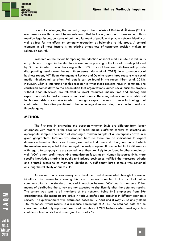

External challenges, the second group in the analysis of Kuikka & Åkkinen (2011), are those factors that cannot be entirely controlled by the organization. These same authors mention legal issues, concerns about the alignment of public and private network identity as well as fear for the effects on company reputation as belonging to this group. A central element in all these factors is an existing uneasiness of corporate decision makers to relinquish control.

Research on the factors hampering the adoption of social media in SMEs is still in its early phases. This gap in the literature is even more pressing in the face of a study published by Gartner in which the authors argue that 80% of social business initiatives will provide disappointing results over the next three years (Mann et al. 2012). In a common social business report, MIT Sloan Management Review and Deloitte report three reasons why social media initiatives fail so often. Full details can be found in the report (Kiron et al. 2013). However, what is interesting for this research is what these reasons have in common. The conclusion comes down to the observation that organizations launch social business projects without clear objectives, are reluctant to invest resources (mainly time and money) and expect too much too fast in terms of financial returns. These ingredients create a fertile soil for boom-and-bust scenarios in which managers expect too much from a technology that contributes to their disappointment if the technology does not bring the expected results or financial gains.

#### **METHOD**

The first step in answering the question whether SMEs are different from larger enterprises with regard to the adoption of social media platforms consists of selecting an appropriate sample. The option of choosing a random sample of all enterprises active in a given geographical location was dropped because there are no indications to expect differences based on this factor. Instead, we tried to find a network of organizations of which the members are expected to be amongst the early adopters. It is expected that if differences with regard to company size are spotted here, they are likely to be found in other samples as well. VOV, a non-profit networking organization focusing on Human Resources (HR), more specific knowledge sharing in public and private businesses, fulfilled the necessary criteria and granted access to its members' database. A sufficiently large sample was obtained ensuring the reliability of our results.

An online anonymous survey was developed and disseminated through the use of Qualtrics. The reason for choosing this type of survey is related to the fact that online communication is the standard mode of interaction between VOV and its members. Other means of distributing the survey are not expected to significantly alter the obtained results. The survey was sent to all members of the network, being 848 employees from 396 organizations. The members are active in various professional activities in different economic sectors. The questionnaire was distributed between 19 April and 8 May 2012 and yielded 182 responses, which results in a response percentage of 21 %. The obtained data can be considered statistically representative for all members of VOV Network when working with a confidence level of 95% and a margin of error of 7 %.

**Vol. 8 No. 4** Winter 2018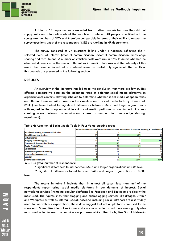

A total of 67 responses were excluded from further analysis because they did not supply sufficient information about the variables of interest. All people who filled out the survey are members of VOV and therefore comparable in terms of their ability to answer the survey questions. Most of the respondents (43%) are working in HR departments.

The survey consisted of 27 questions falling under 4 headings reflecting the 4 selected fields of interest (internal communication, external communication, knowledge sharing and recruitment). A number of statistical tests were run in SPSS to detect whether the observed differences in the use of different social media platforms and the intensity of this use in the aforementioned fields of interest were also statistically significant. The results of this analysis are presented in the following section.

#### **RESULTS**

An overview of the literature has led us to the conclusion that there are few studies offering comparative data on the adoption rates of different social media platforms in organizational contexts allowing scholars to determine whether social media adoption takes on different forms in SMEs. Based on the classification of social media tools by Cann et al. (2011) we have looked for significant differences between SMEs and larger organizations with regard to the adoption of different social media platforms in four important valuecreating areas (internal communication, external communication, knowledge sharing, recruitment).

|                                            | Internal Communication External Communication Recruitment & Selection Learning & Development |    |        |        |
|--------------------------------------------|----------------------------------------------------------------------------------------------|----|--------|--------|
| Social Bookmarking, news & social citation |                                                                                              |    |        |        |
| <b>Social Networking Services</b>          | 19                                                                                           | 57 | $40*$  | 21     |
| <b>Virtual Worlds</b>                      |                                                                                              |    |        |        |
| <b>Blogging &amp; Microblogging</b>        |                                                                                              | 39 |        | $13*$  |
| <b>Document &amp; Presentation Sharing</b> |                                                                                              | ۵ŧ |        | 13     |
| Audio, Photo & Video                       | 19                                                                                           | 26 | 6*     | 16     |
| <b>Collaboration</b>                       | n.                                                                                           |    |        | 13     |
| <b>Project Management &amp; Meeting</b>    | 26                                                                                           |    |        | 14     |
| <b>Information Management</b>              |                                                                                              |    |        |        |
| Location                                   |                                                                                              |    |        |        |
| <b>Internal Social Network</b>             | $52**$                                                                                       | 10 | $19**$ | $36**$ |

| Table 4: Adoption of Social Media Tools in Four Value-creating areas |  |  |  |  |
|----------------------------------------------------------------------|--|--|--|--|
|----------------------------------------------------------------------|--|--|--|--|

 $n = 105$  (total number of respondents)

\* Significant differences found between SMEs and larger organizations at 0,05 level

\*\* Significant differences found between SMEs and larger organizations at 0,001

level

The results in table 1 indicate that, in almost all cases, less than half of the respondents report using social media platforms in our domains of interest. Social networking services (including popular platforms like Facebook and Linkedin) are clearly the most used. The figures show that blogging and microblogging services like *Blogger*, *Twitter* and *Wordpress* as well as internal (social) networks including social intranets are also widely used. In line with our expectations, these data suggest that not all platforms are used to the same end. Some, like internal social networks are most suited - and therefore logically also most used – for internal communication purposes while other tools, like Social Networks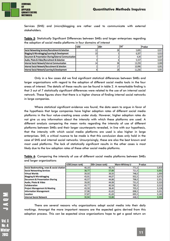

Services (SNS) and (micro)blogging are rather used to communicate with external stakeholders.

**Table 5**: Statistically Significant Differences between SMEs and larger enterprises regarding the adoption of social media platforms in four domains of interest

|                                                        | < 250 | 250+ | Chi <sup>2</sup> | <b>P-value</b> |
|--------------------------------------------------------|-------|------|------------------|----------------|
| Social Networking Services/Recruitment & Selection     | --    | 28   | 5,695            | 0,017          |
| Blogging & Microblogging/Learning & Development        |       |      | 6,207            | 0.013          |
| Document & Presentation Sharing/External Communication |       |      | 4,34             | 0,037          |
| Audio, Photo & Video/Recruitment & Selection           |       |      | 5.157            | 0,023          |
| Internal Social Network/Internal Communication         |       | 38   | 13,259           | 0,000          |
| Internal Social Network/Recruitment & Selection        |       |      | 10,996           | 0,001          |
| Internal Social Network/Learning & Development         |       | 28   | 11,256           | 0,001          |

Only in a few cases did we find significant statistical differences between SMEs and larger organizations with regard to the adoption of different social media tools in the four areas of interest. The details of these results can be found in table 2. A remarkable finding is that 3 out of 7 statistically significant differences were related to the use of an internal social network. These figures show that there is a higher chance of finding internal social networks in large companies.

Where statistical significant evidence was found, the data seem to argue in favor of the hypothesis that large companies have higher adoption rates of different social media platforms in the four value-creating areas under study. However, higher adoption rates do not give us any information about the intensity with which these platforms are used. A different analysis comparing the mean ranks regarding the intensity of use of different platforms between SMEs and their larger counterparts revealed, in line with our hypothesis, that the intensity with which social media platforms are used is also higher in large enterprises. Still, a critical nuance to be made is that this conclusion does only hold in the case of SNS and internal social networks. Unsurprisingly, these are also the best known and most used platforms. The lack of statistically significant results in the other cases is most likely due to the low adoption rates of these other social media platforms.

**Table 6**: Comparing the intensity of use of different social media platforms between SMEs and larger organizations

|                                            | <250 (mean rank) | 250+ (mean rank) | <b>Mann-Whitney U</b> | P-value |
|--------------------------------------------|------------------|------------------|-----------------------|---------|
| Social Bookmarking, news & social citation | 40,19            | 40,73            | 771,5                 | 0,859   |
| <b>Social Networking Services</b>          | 38,77            | 57,89            | 721,0                 | 0,001   |
| <b>Virtual Worlds</b>                      | 39,50            | 39,50            | 748,0                 | 1,000   |
| <b>Blogging &amp; Microblogging</b>        | 43,91            | 44,07            | 932,5                 | 0,975   |
| <b>Document &amp; Presentation Sharing</b> | 40,57            | 44,88            | 798,0                 | 0,351   |
| Audio, Photo & Video                       | 39,00            | 44,08            | 731,0                 | 0,320   |
| <b>Collaboration</b>                       | 43,77            | 40,58            | 785,5                 | 0,523   |
| <b>Project Management &amp; Meeting</b>    | 43,59            | 38,40            | 705,0                 | 0,228   |
| <b>Information Management</b>              | 37,96            | 41,63            | 698,5                 | 0,201   |
| Location                                   | 37,87            | 41,69            | 695,5                 | 0,183   |
| <b>Internal Social Network</b>             | 30,94            | 53,88            | 448,0                 | 0,000   |

There are several reasons why organizations adopt social media into their daily workings. Amongst the more important reasons are the expected gains derived from this adoption process. This can be expected since organizations hope to get a good return on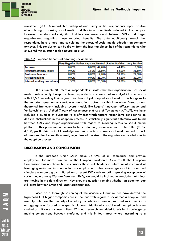

investment (ROI). A remarkable finding of our survey is that respondents report positive effects brought by using social media and this in all four fields included in the analysis. However, no statistically significant differences were found between SMEs and larger organizations regarding these reported benefits. The data additionally reveal that respondents have a hard time calculating the effects of social media adoption on company turnover. This conclusion can be drawn from the fact that almost half of the respondents who answered this question took a neutral position.

|                              |       | Very Negative Rather Negative Neutral Rather Positive |        |        | <b>Very Positive</b> |
|------------------------------|-------|-------------------------------------------------------|--------|--------|----------------------|
| <b>Turnover</b>              | 0.00% | 0.00%                                                 | 47.20% | 44,40% | 8.30%                |
| <b>Product/Company Image</b> | 0.00% | 1.50%                                                 | 13.60% | 53,00% | 31,80%               |
| <b>Customer Relations</b>    | 0.00% | 0.00%                                                 | 17.70% | 59.70% | 22,60%               |
| <b>Attracting talent</b>     | 0.00% | 0.00%                                                 | 23.70% | 54.20% | 22,00%               |
| Internal working procedures  | 1,50% | 0.00%                                                 | 20,00% | 53,80% | 24,60%               |

| Table 7: Reported benefits of adopting social media |
|-----------------------------------------------------|
|-----------------------------------------------------|

Of our sample 78,1 % of all respondents indicates that their organization uses social media professionally. Except for those respondents who were not sure (4,4%) this leaves us with 17,5 % reporting their organization has not yet adopted social media. This brings us to the important question why certain organizations opt-out for this innovation. Based on our theoretical framework including several models like Rogers' *innovation diffusion model* and Venkatesh' et al. *Unified Theory of Acceptance and Use of Technology (UTAUT)*, we have included a number of questions to briefly test which factors respondents consider to be decisive obstructions in the adoption process. A statistically significant difference was found between SMEs and larger organizations with regard to blocking access to social media platforms. This phenomenon seems to be substantially more common in the latter (Chi<sup>2</sup>= 4,508; p= 0,034). Lack of knowledge and skills on how to use social media as well as lack of time are also frequently named, regardless of the size of the organization, as obstacles in the adoption process.

#### **DISCUSSION AND CONCLUSION**

In the European Union SMEs make up 99% of all companies and provide employment for more than half of the European workforce. As a result, the European Commission has no choice but to consider these stakeholders in future initiatives aimed at leveraging social media in order to raise employment rates, encourage social inclusion and stimulate economic growth. Based on a recent IDC study reporting growing acceptance of social media among Western European SMEs, we would be inclined to conclude that things are moving in the right direction. However, the question remains whether an adoption gap still exists between SMEs and larger organizations.

Based on a thorough screening of the academic literature, we have derived the hypothesis that bigger companies are in the lead with regard to social media adoption and use. Up until now the majority of scholarly contributions have approached social media as an aggregate or focused on a specific platform. Additionally, social media adoption is often studied as if it were a cause in itself. With our research we added to existing knowledge by making comparisons between platforms and this in four areas where, according to a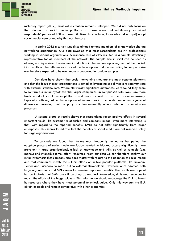

McKinsey report (2012), most value creation remains untapped. We did not only focus on the adoption of social media platforms in these areas but additionally examined respondents' perceived ROI of these initiatives. To conclude, those who did not (yet) adopt social media were asked why this was the case.

In spring 2012 a survey was disseminated among members of a knowledge sharing networking organization. Our data revealed that most respondents are HR professionals working in various organizations. A response rate of 21% resulted in a sample statistically representative for all members of the network. The sample size in itself can be seen as offering a unique view of social media adoption in the early-adopter segment of the market. Our results on the differences in social media adoption and use according to company size are therefore expected to be even more pronounced in random samples.

Our data have shown that social networking sites are the most popular platforms and that the focus of most organizations is aimed at leveraging social media to communicate with external stakeholders. Where statistically significant differences were found they seem to confirm our initial hypothesis that larger companies, in comparison with SMEs, are more likely to adopt social media platforms and more inclined to use them more intensively. Especially with regard to the adoption of internal social media did we notice significant differences revealing that company size fundamentally affects internal communication processes.

 A second group of results shows that respondents report positive effects in several important fields like customer relationship and company image. Even more interesting is that, with regard to the reported benefits, SMEs do not differ significantly from larger enterprises. This seems to indicate that the benefits of social media are not reserved solely for large organizations.

To conclude we found that factors most frequently named as hampering the adoption process of social media are factors related to blocked access (significantly more prevalent in large organizations), a lack of knowledge and skills as well as tangible (e.g. money) and intangible (time, effort) resources. From our data we can therefore confirm our initial hypothesis that company size does matter with regard to the adoption of social media and that companies mostly focus their efforts on a few popular platforms like Linkedin, Twitter and Facebook to reach out to external stakeholders. However, once adopted both large organizations and SMEs seem to perceive important benefits. The results are hopeful but do indicate that SMEs are still catching up and lack knowledge, skills and resources to match the efforts of the bigger players. This information should encourage the E.U. to invest its resources where they have most potential to unlock value. Only this way can the E.U. obtain its goals and remain competitive with other economies.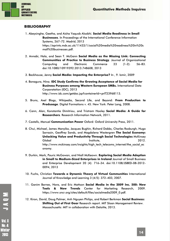

#### **BIBLIOGRAPHY**

- 1. Abeysinghe, Geetha, and Aisha Yaquob Alsobhi. **Social Media Readiness in Small Businesses**. In Proceedings of the International Conference Information Systems, 267–72. Madrid, 2013 https://eprints.mdx.ac.uk/11433/1/social%20media%20readiness%20in%20s mall%20businesses.pdf.
- 2. Annabi, Hala, and Sean T. McGann **Social Media as the Missing Link: Connecting Communities of Practice to Business Strategy**. Journal of Organizational Computing and Electronic Commerce 23 (1-2): 56–83. doi:10.1080/10919392.2013.748608, 2013
- 3. Backhouse, Jenny **Social Media: Impacting the Enterprise?** In , 9. Izmir, 2009
- 4. Bonagura, Nina. **IDC Study Confirms the Growing Acceptance of Social Media for Business Purposes among Western European SMBs.** International Data Corporatation (IDC), 2013 http://www.idc.com/getdoc.jsp?containerId=prIT23968113.
- 5. Bruns, Axel Blogs, Wikipedia, Second Life, and Beyond: **From Production to Produsage**. Digital Formations v. 45. New York: Peter Lang, 2008.
- 6. Cann, Alan, Konstantia Dimitriou, and Tristram Hooley **Social Media: A Guide for Researchers**. Research Information Network, 2011.
- 7. Castells, Manuel **Communication Power** Oxford: Oxford University Press, 2011.
- 8. Chui, Michael, James Manyika, Jacques Bughin, Richard Dobbs, Charles Roxburgh, Hugo Sarrazin, Geoffrey Sands, and Magdalena Westergren **The Social Economy: Unlocking Value and Productivity Through Social Technologies** McKinsey Global **Institute,** 2012. http://www.mckinsey.com/insights/high\_tech\_telecoms\_internet/the\_social\_ec onomy.
- 9. Durkin, Mark, Pauric McGowan, and Niall McKeown. **Exploring Social Media Adoption in Small to Medium-Sized Enterprises in Ireland** Journal of Small Business and Enterprise Development 20 (4): 716–34. doi:10.1108/JSBED-08-2012- 0094, 2013
- 10. Fuchs, Christian **Towards a Dynamic Theory of Virtual Communities** International Journal of Knowledge and Learning 3 (4/5): 372–403, 2007.
- 11. Ganim Barnes, Nora, and Eric Mattson **Social Media in the 2009 Inc. 500: New Tools & New Trends** Center for Marketing Research, 2009. https://www.sncr.org/sites/default/files/socialmedia2009\_0.pdf.
- 12. Kiron, David, Doug Palmer, Anh Nguyen Philips, and Robert Berkman **Social Business: Shifting Out of First Gear** Research report. MIT Sloan Management Review. Massachusetts: MIT in collaboration with Deloitte, 2013.

No. 4 Ninter 2018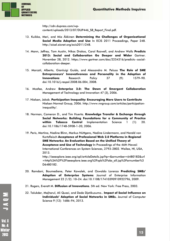

http://cdn.dupress.com/wpcontent/uploads/2013/07/DUP446\_SB\_Report\_Final.pdf.

- 13. Kuikka, Meri, and Mia Äkkinen **Determining the Challenges of Organizational Social Media Adoption and Use** In ECIS 2011 Proceedings, Paper 248. http://aisel.aisnet.org/ecis2011/248.
- 14. Mann, Jeffrey, Tom Austin, Nikos Drakos, Carol Rozwell, and Andrew Walls **Predicts 2013: Social and Collaboration Go Deeper and Wider** Gartner. November 28, 2012. https://www.gartner.com/doc/2254316/predicts--socialcollaboration-deeper.
- 15. Marcati, Alberto, Gianluigi Guido, and Alessandro M. Peluso **The Role of SME Entrepreneurs' Innovativeness and Personality in the Adoption of Innovations** Research Policy 37 (9): 1579–90. doi:10.1016/j.respol.2008.06.004, 2008.
- 16. Mcafee, Andrew **Enterprise 2.0: The Dawn of Emergent Collaboration** Management of Technology and Innovation 47 (3), 2006.
- 17. Nielsen, Jakob. **Participation Inequality: Encouraging More Users to Contribute** Nielsen Normal Group, 2006. http://www.nngroup.com/articles/participationinequality/.
- 18. Norman, Cameron D., and Tim Huerta. **Knowledge Transfer & Exchange through Social Networks: Building Foundations for a Community of Practice within Tobacco Control** Implementation Science 1 (1): 20. doi:10.1186/1748-5908-1-20, 2006.
- 19. Peris, Martina, Nadine Blinn, Markus Nüttgens, Nadine Lindermann, and Harald von Kortzfleisch **Acceptance of Professional Web 2.0 Platforms in Regional SME Networks: An Evaluation Based on the Unified Theory of Acceptance and Use of Technology** In Proceedings of the 46th Hawaii International Conferences on System Sciences, 2793–2802. Wailea, HI, USA, 2013. http://ieeexplore.ieee.org/xpl/articleDetails.jsp?tp=&arnumber=6480182&url

=http%3A%2F%2Fieeexplore.ieee.org%2Fxpls%2Fabs\_all.jsp%3Farnumber%3 D6480182.

- 20. Ramdani, Boumediene, Peter Kawalek, and Oswaldo Lorenzo **Predicting SMEs' Adoption of Enterprise Systems** Journal of Enterprise Information Management 22 (1/2): 10–24. doi:10.1108/17410390910922796, 2009.
- 21. Rogers, Everett M. **Diffusion of Innovations**. 5th ed. New York: Free Press, 2003.
- 22. Talukder, Majharul, Ali Quazi, and Dede Djatikusumo.. **Impact of Social Influence on Individuals' Adoption of Social Networks in SMEs.** Journal of Computer Science 9 (12): 1686–94, 2013.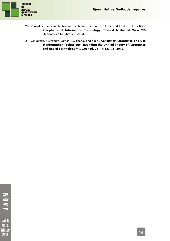

- 23. Venkatesh, Viswanath, Michael G. Morris, Gordon B. Davis, and Fred D. Davis **User Acceptance of Information Technology: Toward A Unified View** MIS Quarterly 27 (3): 425–78, 2003.
- 24. Venkatesh, Viswanath, James Y.L. Thong, and Xin Xu **Consumer Acceptance and Use of Information Technology: Extending the Unified Theory of Acceptance and Use of Technology** MIS Quarterly 36 (1): 157–78, 2012.

**NOVL** 

**Vol. 8 No.4** Winter 2013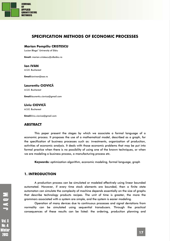

# **SPECIFICATION METHODS OF ECONOMIC PROCESSES**

#### **Marian Pompiliu CRISTESCU**

Lucian Blaga" University of Sibiu

**Email:** marian.cristescu@ulbsibiu.ro

#### **Ion IVAN**

A.S.E. Bucharest

**Email:**ionivan@ase.ro

#### **Laurentiu CIOVICĂ**

A.S.E. Bucharest

**Email:**laurentiu.ciovica@gmail.com

#### **Liviu CIOVICĂ**

A.S.E. Bucharest

**Email:**liviu.ciovica@gmail.com

#### **ABSTRACT**

This paper present the stages by which we associate a formal language of a economic process. It proposes the use of a mathematical model, described as a graph, for the specification of business processes such as: investments, organization of production, activities of economic analysis. It deals with those economic problems that may be put into formal practice when there is no possibility of using one of the known techniques, or when we are modeling a business process, a manufacturing process etc.

**Keywords***:* optimization algorithm, economic modeling, formal language, graph

#### **1. INTRODUCTION**

A production process can be simulated or modeled effectively using linear bounded automated. However, if every time stock elements are bounded, then a finite state automaton can simulate the complexity of machine depends essentially on the size of graphs that describe technology products recipes. The unit of time is greater, the more the grammars associated with a system are simple, and the system is easier modeling.

Operation of many devices due to continuous processes and signal deviations from normality can be simulated using sequential transducers. Through the practical consequences of these results can be listed: the ordering, production planning and

2018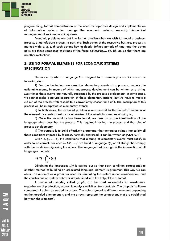

programming, formal demonstration of the need for top-down design and implementation of information systems for manage the economic systems, necessity hierarchical management of socio-economic systems.

Economic problems are put into formal practice when we wish to model a business process, a manufacture process, a part, etc. Each action of the respective business process is marked with: *a, b, c, d,* such actions having clearly defined periods of time, and the action pairs are those composed of strings of the form: *ab\*cab\*bc…, ab, bb, bc,* so that there are no other restrictions.

# **2. USING FORMAL ELEMENTS FOR ECONOMIC SYSTEMS SPECIFICATION**

The model by which a language *L* is assigned to a business process *Pi* involves the following steps:

1) For the beginning, we seek the elementary events of a process, namely the actionable atoms, by means of which any process development can be written as a string. Most times these events are naturally suggested by the process development. In some cases, we cannot make a natural separation of these elementary actions, but we have to make a cut out of the process with respect to a conveniently chosen time unit. The description of this process will be interpreted as elementary events;

2) In both cases, the essential problem is represented by the finitude/ finiteness of the elementary events inventory, or otherwise of the vocabulary we are working on;

3) Once the vocabulary has been found, we pass on to the identification of the language which describes the process. This requires knowing the process and the rules of process development;

4) The purpose is to build effectively a grammar that generates strings that satisfy all these conditions imposed by fairness. Formally expressed, it can be written as  $[ATANO7]$ :

Given  $c_1, c_2, \ldots, c_n$ , the conditions that a string of elementary events must satisfy in order to be correct. For each *i=1,2, ... ,n* we build a language L(c<sub>i</sub>) of all strings that comply with the condition  $\mathsf{c}_i$  ignoring the others. The language that is sought is the intersection of all languages, namely:

$$
L(P) = \bigcap_{i=1}^{n} L(c_i)
$$
 (1)

Obtaining the languages *L(c<sub>i</sub>)* is carried out so that each condition corresponds to another method of building an associated language, namely its grammar. This way we can obtain an automat or a grammar used for simulating the system under consideration, and the conclusions on system behavior are obtained with the help of the automat.

A mathematic model, called *graph*, can be used successfully in investments, organization of production, economic analysis activities, transport, etc. The graph is "a figure composed of points connected by arrows. The points symbolize different elements depending on the modeled phenomenon, and the arrows represent the connections that are established between the elements".

**Vol. 8** No. 4 Winter 2018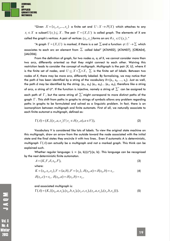

"Given  $X = \{x_1, x_2, ..., x_n\}$  a finite set and  $U: X \rightarrow P(X)$  which attaches to any  $x_i \in X$  a subset  $U(x_i) \subseteq X$ . The pair  $\Gamma = (X, U)$  is called graph. The elements of X are called the graph's vertices. A pair of vertices  $(x_1, x_2)$  forms an arc if  $x_1 \in U(x_2)$  ."

"A graph  $\Gamma = (X, U)$  is marked, if there is a set  $\Sigma$  and a function  $\varphi : U \to \Sigma$  which associates to each arc an element from  $\Sigma$  called *label"* [ATAN02], [ATAN07], [CREA04], [JALO06].

From the definition of graph, for two nodes  $a_{i}$  a<sub>i</sub> of X, we cannot consider more than two arcs, differently oriented so that they might connect to each other. Waiving this restriction leads to consider the concept of *multigraph*. Multigraph is the pair *(X, U)*, where *X* is the finite set of nodes, and  $U\subset X\times \Sigma \times X, \ \ \Sigma$  is the finite set of labels. Between two nodes of *X*, there may be more arcs, differently labeled. By formalizing, we may notice that the path *d* has been identified by a string of the vocabulary  $X = \{x_1, x_2, ..., x_n\}$ . Just as well, the path *d* may be identified by the string:  $(a_{i1}, a_{i2}) (a_{i1}, a_{i2}) ... (a_{i1}, a_{i2})$ , therefore like a string of arcs, a string of  $U^*$ . If the function is injective, namely a string of  $\sum^*$  can be assigned to each path of  $\Gamma$  , but the same string of  $\sum^*$ might correspond to more distinct paths of the graph  $\Gamma$  . This shift from paths in graphs to strings of symbols allows any problem regarding paths in graphs to be formulated and solved as a linguistic problem. In fact, there is an isomorphism between multigraph and finite automats. First of all, we naturally associate to each finite automat a multigraph, defined as:

$$
\Gamma(A) = (K, \{ (s_i, a, s_j) ? | s_j \in \delta(s_i, a), a \in V \}),
$$
\n(2)

Vocabulary V is considered like lots of labels. To view the original state machine on this multigraph, draw an arrow from the outside toward the node associated with the initial state and the final states they encircle it with two lines.. Even if automatic A is deterministic, multigraph  $\Gamma(A)$  can actually be a multigraph and not a marked graph. This think can be explained such.

Whether regular language:  $L = {a, b}$   $c^*$ } ${a, b}$ . This language can be recognized by the next deterministic finite automaton.

$$
A = (K, V, \delta, s_0, F),
$$
\n<sup>(3)</sup>

where:

$$
K = \{s_0, s_1, s_2\}, V = \{a, b\}, F = \{s_2\}, \delta(s_0, a) = \delta(s_0, b) = s_1,
$$
  
\n
$$
\delta(s_1, c) = s_1, \delta(s_0, a) = \delta(s_1, b) = s_2,
$$
\n(4)

and associated multigraph is:

$$
\Gamma(A) = (K, \{ (s_0, a, s_1), (s_0, b, s_1), (s_1, c, s_1), (s_1, a, s_2), (s_1, b, s_2) \}).
$$
\n<sup>(5)</sup>

**Vol. 8** Nn. 4 Winter 2018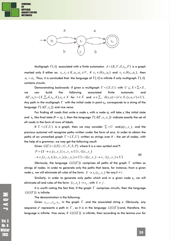



Multigraph  $\Gamma(A)$  associated with a finite automaton  $A = (K, V, \delta, s_0, F)$  is a graph marked only if either as:  $s_1, s_2 \in K$ ,  $a_1, a_2 \in V$ , if  $s_2 \in \delta(s_1, a_1)$  and  $s_2 \in \delta(s_1, a_2)$ , then  $a_1 = a_2$ . Thus, it is concluded that: the language of  $\Gamma(A)$  is infinite if only multigraph  $\Gamma(A)$ contains circuits.

Demonstrating backwards: if given a multigraph  $\Gamma = (X,U)$  with  $U \subseteq X \times \Sigma \times X$ , we can build the following associated finite automats: and  $A(\Gamma, s_0) = (X, \Sigma, \delta, s_0, X),$   $s_0 \in X$  for  $s \in X$  and  $a \in \Sigma$ ,  $\delta(s, a) = \{s \in X, (s, a, s') \in U\}.$ Any path in the multigraph  $\Gamma$  with the initial node in point  $s_o$ , corresponds to a string of the language  $T (A(\Gamma , s_{0}))$  and vice versa.

For finding all roads that unite a node  $\mathsf{s}_\mathsf{i}$  with a node  $\mathsf{s}_\mathsf{i}$ , will take  $\mathsf{s}_\mathsf{i}$  like initial state and  $s_{i'}$  like final state (F =  $s_{i}$ ), ), then the language  $T(A(\Gamma, s_1, s_2))$  indicate exactly the set of all roads in the form of rows of labels.

If  $\Gamma = (X, U)$  is a graph, then we may consider  $\Sigma = U$  and  $\varphi(s_i, s_j)$ , and the previous automat will recognize paths written under the form of arcs. In order to obtain the paths of an unmarked graph  $\Gamma = (X, U)$  written as strings over X – the set of nodes, with the help of a grammar, we may get the following result:

Given  $G(\Gamma) = (\{S\} \cup U, X, S, P)$  where S is a new symbol and P:

$$
P = \{S \to s_i(s_i, s_j) \mid s_i, s_j \in U\} \cup \{(s_i, s_j) \to s_j(s_j, s_k) \mid (s_i, s_j), (s_j, s_k) \in U\} \cup \{(s_i, s_j) \to s_j \mid (s_i, s_j) \in U\}
$$
\n(6)

Obviously, the language  $L(G(\Gamma))$  comprises all paths of the graph  $\Gamma$  written as strings of nodes. In order to generate only the paths that leave, for instance, from a given node  $s_i$ , we will eliminate all rules of the form:  $S \to s_k(s_k, s_j)$  for any  $k \neq i$ .

Similarly, in order to generate only paths which end in a given node *sj* , we will eliminate all end rules of the form:  $(s_i, s_k) \rightarrow s_k$ , with  $k \neq j$ .

It is worth noting the fact that, if the graph  $\Gamma$  comprises circuits, then the language  $L(G(\Gamma))$  is infinite.

The demonstration is the following:

Given  $s_{i_1},...,s_{i_p}, s_{i_1}$  in the graph  $\Gamma$  and the associated string *x*. Obviously, any sequence  $\mathsf{x}^{\mathsf{n}}$  represents a path in  $\Gamma$  , so it is in the language  $\ L(G(\Gamma))$  and, therefore, this language is infinite. Vice versa, if  $L(G(\Gamma))$  is infinite, then according to the lemma *uvw* for

2018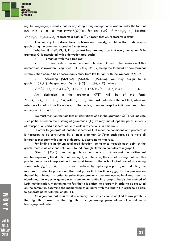

regular languages, it results that for any string z long enough to be written under the form of *uvw* with  $|v| \ge 0$ , so that  $w^i w \in L(G(\Gamma))$ , for any  $i \ge 0$ . If  $v = s_{i1} s_{i2}...s_{i p}$  because  $\gamma v = s_{i1} s_{i2} \dots s_{i2} s_{i1} s_{i2} \dots s_{i2}$  represents a path in  $\Gamma$  , it result that  $vs_{i1}$  represents a *circuit*.

Another way to address these problems and namely, to obtain the roads from a graph using the grammar is used to *bypass trees.*

Whether  $G = (V, VT, S, P)$ , a context-free grammar, so that every derivation D in grammar G, is associated with a derivation tree, such:

is marked with the S tree root;

 if a tree node is marked with an unfinished *A* and in the derivation D this nonterminal is rewritten using rules :  $A \rightarrow x_1 x_2 ... x_r$ ,  $x_i$  being the terminal or non-terminal symbols, then node A has r descendants mark from left to right with the symbols  $x_1x_2...x_r$ .

 According [ATAN02], [ATAN07], [JALO06], we may assign to a graph  $\Gamma = (X, U)$ , the grammar:  $G(\Gamma) = (\{S\} \cup X, \{b\}, S, P)$ , where:

$$
P = \{ S \to s_i \mid s_i \in X \} \cup \{ s_i \to s_j \mid (s_i, s_j) \in U \} \cup \{ s_j \to b \mid s_i \in X \}
$$
(7)

Any derivation in the grammar  $G(\Gamma)$  will be of the form:  $S \implies s_{i1} \implies s_{i2} \implies ... \implies s_{ik} \implies b$  , with  $s_{i1}s_{i2}...s_{ik}$  . We must make clear the fact that, when we refer only to paths from the node  $s_i$  to the node  $s_i$ , then we keep the initial and end rules, namely  $S \to s_i$  and  $s_j \to b$ .

We must mention the fact that all derivations of *b* in the grammar  $G(\Gamma)$  will indicate such paths. Based on the building of grammar  $G(\Gamma)$  we may find all optimal paths, in terms of transport, on certain itineraries, with certain restrictions, in time units.

In order to generate all possible itineraries that meet the conditions of a problem, it is necessary to be constructed by a linear grammar  $G(\Gamma)$  for each race, so to have all itineraries that start with a point of departure, according to that race.

For finding a minimum total road duration, going once through each point of the graph, there is at least one solution is found through Hamiltonian paths of a graph  $\Gamma$  .

Given  $\Gamma = (X,U)$ , a marked graph, so that to any arc of U we assign a positive real number expressing the duration of passing it, or otherwise, the cost of passing that arc. This problem may have interpretation in transport issues, in the technological flow of processing some parts  $p_1, p_2, \ldots, p_n$ , on a certain machine, by replacing a part  $\boldsymbol{p}_i$  and adapting the machine in order to process another part  $p_i$ , so that the time  $c(p_i, p_j)$  for the preparation thereof be minimal. In order to solve these problems, we can use optimal and heuristic algorithms. In order to generate all Hamiltonian paths in a graph, there's the method of Latin multiplication, mentioning the fact that it is difficult to program in order to be executed on the computer, assuming the memorizing of all paths with the length *I* in order to be able to generate paths with the length *i+1.* 

An algorithm that requires little memory, and which can be applied to any graph, is the algorithm based on the algorithm for generating permutations of a set in a lexicographical order.

**Vol. 8** No. 4 Ninter 2018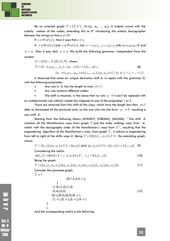**JOURNAL OF APPLIED QUANTITATIVE METHODS** 

> Be an oriented graph  $\Gamma = (X, U)$ ,  $X = \{a_1, a_2, ..., a_n\}$ , X orderly crowd with the orderly indices of the nodes, extending this to *X\** introducing the orderly lexicographer between the strings so that  $x, y \in X^*$ :

If  $x \in \text{Pr} \, \text{ef}(y)$ , than it says that  $x < y$ 

If  $x \notin \text{Pr } \text{ef}(y)$  and  $y \notin \text{Pr } \text{ef}(x)$ , but  $x = x_1 a_1 x_2, y = x_1 a_1 x_3$  with cu  $x_1, x_2, x_3 \in X^*$  and  $a_i < a_j$  than it says that  $x < y$ . We build the following grammar, independent from the context:

$$
G = (\{S\} \cup X, \{b\}, S, P), \text{ where:}
$$
  
\n
$$
P = \{S \to a_1 a_2, ..., a_n\} \cup \{a_i \to b | i = 1, 2, ..., n\} \cup
$$
  
\n
$$
\{a_i \to a_{i1} a_{i2} ... a_{ik}, i \notin \{i_1, i_2, ..., i_k\}, (a_i, a_{ij}) \in U, \forall j \text{ si } i_1 < i_2 < ... < i_k\}.
$$
 (8)

It observed that exists an unique derivation shift *A,* in report with the grammar *G*, with the following proprieties:

- Any way in *A,* has the length at most *n+* 1;
- Any way contains different nodes;
- The shift is maximal, in the sense that no rule  $a_i \rightarrow b$  can't be replaced with

an undetermined rule without violate the integrate to one of the proprieties 1 or 2.

There are removed from this shift all the ways, which have the length less than *n+*1 after its eliminated all the terminals arch, so the one who has the form  $a_i \rightarrow b$ , resulting a new shift *A'.* 

Starting from the following theory [ATAN07], [CREA04], [JALO06]: " The shift *A'*  contains all the Hamiltonians ways from graph  $\Gamma$  and the order endings ways from  $A'$ , match with the lexicography order of the Hamiltonian's ways from  $\Gamma''$ , resulting that the engendering algorithm of the Hamiltonian's ways, from graph  $\Gamma$  , it reduce to engendering from left to right of the shifts ways A'. Being  $\Gamma = (\{0,1,2,...,n,\infty\}, U')$  the extending graph, where:

$$
U' = \{(i, j) | (a_i, a_j) \in U\} \cup \{(o, i) | \text{ exist } (a_i, a_j) \in U\} \cup \{(i, \infty) | i = 1, 2, ..., n\}
$$
 (9)

Considering the matrix

$$
m(i, j) = \min\{k \mid k > j \text{ si } (i, k) \in U', i, j = 0, 1, 2, \dots, n\}.
$$
\n<sup>(10)</sup>

Being the graph:

 } ),

$$
\Gamma = (\{a_1, a_2, a_3, a_4\} \{(a_1, a_2), (a_1, a_3), (a_1, a_4), (a_2, a_4), (a_3, a_2)\}).
$$
\n<sup>(11)</sup>

Consider the associate graph:

 $\Gamma = 0$ 

$$
\{0,1,2,3,4,\infty\},\
$$
  
\n
$$
\{(1,2),(1,3),(1,4), (2,4),(3,2), (0,2),(0,3),(0,\infty), (1,\infty),(2,\infty),(3,\infty),(4,\infty)\}
$$
  
\n
$$
\}
$$
  
\n
$$
\{(1,2),(2,2,2),(3,2,4,2,2)\}
$$

And the corresponding matrix is the following:

MOVI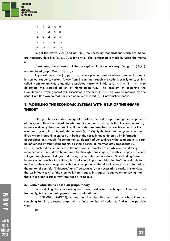

 $\overline{\phantom{a}}$  $\overline{\phantom{a}}$  $\overline{\phantom{a}}$  $\overline{\phantom{a}}$  $\overline{\phantom{a}}$  $\overline{\phantom{a}}$  $\overline{\phantom{a}}$  $\overline{\phantom{a}}$  $\mathbf{r}$  $\mathbf{r}$  $\mathbf{r}$  $\mathbf{r}$  $\mathbf{r}$  $\mathbf{r}$ L  $\mathbf{r}$  $\infty$   $\infty$   $\infty$   $\infty$  $\infty$   $\infty$   $\infty$  $\infty$   $\infty$  $\infty$  $1 \quad 2 \quad 3 \quad \infty \quad \infty$ 2 2 4 4 4 2 2 3 4 ,

To get the crowd  $H(\Gamma)$  and not  $P(X)$ , the necessary modifications which are made, are necessary data like  $(a_{rk}a_{rk+1}) \in U$  for any *k*. The verification is made by using the matrix *m.* 

Considering the extension of the concept of Hamiltonian's way. Being  $\Gamma = (X,U)$ un orientated graph,  $X = \{a_1, a_2, \ldots, a_n\}$ .

Any n with form  $v = (p_1, p_2, ..., p_n)$ , where  $p_i$  is un positive whole number for any i, it is called frequency vector. A way from  $\Gamma$  passing through the node  $\bm{a}_i$  exactly on  $\bm{p}_i$  or, it is called Hamiltonian way engender associated vector v. I this case, if  $v = (1 \ldots n)$ , then determine the classical notion of Hamiltonian way. The problem of searching the Hamiltonian's ways, generalized, associated a vector v=(p<sub>l</sub>,p<sub>2</sub>,...,p<sub>n</sub>), can be reduced by one usual Hamilton way so that, for each node *ai* we insert *pi - 1* new distinct nodes.

# **3. MODELING THE ECONOMIC SYSTEMS WITH HELP OF THE GRAPH THEORY**

If the graph is seen like a image of a system, the nodes representing the components of the system, than the immediate interpretation of an arch  $(x_i, x_j)$  is that the component  $x_i$ , influences directly the component *xj* . If the nodes are described as possible moods for the economic system, it can be said that an arch (x<sub>i</sub>, xj) signify the fact that the system can pass directly from status xi, in status *xj* . In both of the cases it has to do only with information about direct links; tough if a component xi  $\,$  doesn't influence directly the component  $\, {\mathsf x}_i \,$  it can be influenced by other components, existing a series of intermediate components : *x1, x2,...,xk*, each a direct influence on the next and *xi* , directly on *x1*, while *xk* has directly influence on  $x_i$ . So, if it can be realized the through from stage  $x_i$ , directly in stage  $x_i$ , it could still go through several stages and through other intermediate states. Since finding these influences or possible transitions , is usually very important, this thing isn't quite simple to realize for the case of a system with many components, therefore it is necessary to formalize the notion of possible ''influences" and '' crosswalks'', not necessarily directly. It is obvious that "x<sub>i</sub> influences x<sub>i</sub>" or "the crosswalk from stage xi in stage x<sub>i</sub>" is equivalent to saying that there in a graph exists a way from node  $\mathsf{x}_{i}$  to node  $\mathsf{x}_{i}.$ 

#### **3.1 Search algorithms based on graph theory**

For modelling, the economic system it are used several techniques. A method used frequently, is the one that appeals to search algorithms.

In [CORM02], [RADE02], is described the algorithm with help of which it makes searching for, in a directed graph with a finite number of nodes, to find all the possible ways.

So:

U A O M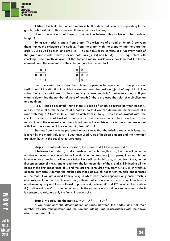**1 Step**: it is build the Boolean matrix is built of direct adjacent, corresponding to the graph, noted with *A*. In this situation all the ways have the length 1.

 It must be noticed that there is a connection between this matrix and the roads of length 2.

Being two nodes x<sub>i</sub> and x<sub>i</sub> from graph. The existence of a road of length 2 between them implies the existence of a node  $x_k$ , from the graph, with the property that there are the arch (x,,x<sub>k</sub>) as well as arch and arc (x,,x<sub>k</sub>) . To see if this exists, it takes at a run every node of the graph and check if there is or not both arcs ((x,, xk) and (x,, xk)). This is equivalent with checking if the directly adjacent of the Boolean matrix, exists any index *k* so that the k-line element *i* and the element *k* of the column *j* are both equal to 1:

| $\begin{array}{c c c}\n\hline\n+ & 0 & 1 \\ \hline\n0 & 0 & 1\n\end{array}$ |  | $\begin{array}{c c} \hline \mathbf{x} & \mathbf{0} & \mathbf{1} \end{array}$ |  |
|-----------------------------------------------------------------------------|--|------------------------------------------------------------------------------|--|
|                                                                             |  | $\overline{0}$ $\overline{0}$ $\overline{0}$                                 |  |
| $1 \mid 1 \mid 1$                                                           |  | $1 \mid 0 \mid 1$                                                            |  |

then the verifications, described above, appear to be equivalent to the process of verification of the situation in which the element from the position  $(i,j)$  of  $A^2$  equal to  $1$ . The value 1 only say that there is at least one way, whose length is 2, between *xi* , and *xj* . If you want to determine the number of ways of length 2, there are used the rules of multiplication and addition.

Also, it can be observed that if there is a road of length 3 situated between nodes *xi* , and *x<sub>i</sub>,* , this implies the existence of a node  $x_k$  so that you can determine the existence of a road with length 2 from  $x_i$ , to  $x_k$  , and an arch from  $x_k$  to  $x_j$  , which is equivalent with the check of existence to at least of an index *k* so that the element *k* placed on line *i* of the matrix *A2* and the element *k* on the j-th column in the matrix *A* are at the same time equal with 1 or, more simple, if the element (*i,j)* from *A3* is 1.

Starting from the ones presented above shows that the existing roads with length *k*, is given by the matrix values A<sup>k</sup> , if you have used rules of Boolean algebra and their number are given by *Ak* if the usual rules were used.

**Step 2:** we calculate, in succession, the power of *A* till the power of *An-1*.

If between the nodes  $x_i$ , and  $x_j$  exists a road with length  $\geq n$  , then he will contain a number of nodes at least equal to *n+1* and, as in the graph are just *n* peaks, it is clear that at least one, for example x<sub>k</sub>,, will appear twice. Here will be, in this case, a road from the x<sub>i</sub>, to the first appearance of the  $x_k$ , and a road from the last apparition of the  $x_k$  and  $x_{\!i\cdot}$ . Eliminating all the nodes of the first appearance of  $x_k$  and the last one, it results a way from  $x_i$ , to  $x_i$ ,  $\mathrm{x}$ j, in which  $x_k$ appears only once. Applying the method described above, all nodes with multiple appearances on the road, it will get a road from  $x_i$ , to  $x_j$ , in which each node appeared only once, which is obviously less than n arches. In conclusion, if there is at least one way from  $x_i$ , to  $x_j$  , then there is an elementary way and there will exist a power of *A*, between *A1* and *An-1*, in which the position (*i,j*) is different from 0. In order to demonstrate the existence of a road between any two nodes it is necessary to calculate only the first *n-1* powers of *A*.

**Step 3**: we calculate the matrix  $D = A + A^2 + ... + A^{n-1}$ 

If you want only the determination of roads between the nodes, and not their number, you use multiplication and the Boolean adding, and in accordance with the above observation, we obtain:

No. 4 Winter 2018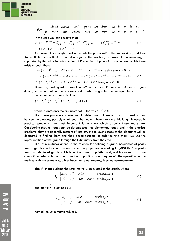

 $d_{ij} =$  $\overline{\mathcal{L}}$ ₹  $\left\lceil \right\rceil$ *i*  $\mu$   $\lambda$ <sub>*j*</sub> *i*  $\mu$   $\lambda$ <sub>*j*</sub> *dacă nu există nici un drum de la x la x* 1 , *dacă există cel putin un drum de la*  $x_i$  *la*  $x_j$  (13)  $0,$ 

In this case you can observe that:

$$
A \cdot (A+I)^{n-2} = C_{n-2}^{0} \cdot A + C_{n-2}^{1} \cdot A^{2} + C_{n-2}^{2} \cdot A^{3} + \dots + C_{n-2}^{n-2} \cdot A^{n-1} =
$$
  
=  $A + A^{2} + A^{3} + \dots + A^{n-1} = D$  (14)

As a result it is enough to calculate only the power n-2 of the matrix *A+I* , and then the multiplication with *A* . The advantage of this method, in terms of the economy, is supported by the following observation: if D contains all pairs of arches, among which there exists a road , then:

$$
D = (A + A^{2} + ... + A^{n-1}) + A^{n} + A^{n+1} + ... + A^{n+k} = D \text{ being any } k \ge 0 \Rightarrow
$$
  
\n
$$
\Rightarrow A \cdot (A + I)^{n-2+k} = A(A + A^{2} + ... + A^{n-1}) + A^{n} + A^{n+1} + ... + A^{n+k-1} = D = \text{(15)}
$$
  
\n
$$
A \cdot (A + I)^{n-2} \Leftrightarrow A \cdot (A + I)^{n-2+k} = A \cdot (A + I)^{n-2} \text{ being any } k \ge 0
$$

Therefore, starting with power  $k = n-2$ , all matrices  $A^k$  are equal. As such, it goes directly to the calculation of any powers of *A+I* which is greater than or equal to n-1.

For example, you can calculate:

$$
(A+I)^{2^1}, (A+I)^{2^2}, (A+I)^{2^3}, \dots, (A+I)^{2^r}, \tag{16}
$$

where *r* represents the first power of 2 for which:  $2^r \geq n-2$ .

The above procedure allows you to determine if there is or not at least a road between two nodes, possibly what length he has and how many are this long. However, in practical problems, the most important is to know which actually these roads are. Considering that, all roads can be decomposed into elementary roads, and in the practical problems, they are generally matters of interest, the following steps of the algorithm will be dedicated to finding them and their decomposition. In order to find them, we use the representation of the graph through the Latin matrix from the case F.

The Latin matrices attend to the relation for defining a graph. Sequences of peaks from a graph can be characterized by certain properties. According to [MINU02]"the peaks from an orientated graph which have the same proprieties and, which succeed in a one compatible order with the order from the graph, it is called sequence". The operation can be realized with the sequences, which have the same property, is called concatenation.

**The 4<sup>th</sup> step**: building the Latin matrix *L* associated to the graph, where:

$$
I_{ij} = \begin{cases} x_i x_j, & if \quad exist & arch(x_i, x_j) \\ 0, & if \quad not \quad exist & arch(x_i, x_j) \end{cases} \tag{17}
$$

and matrix  $\,L\,$  is defined by: ~

$$
\tilde{l} = \begin{cases}\nx_j & , \text{if } \text{exist} \\
0 & , \text{if } \text{not} \text{exist} \\
\end{cases} \quad \text{arch}(x_i, x_j) \tag{18}
$$

named the Latin matrix reduced.

**NOVL**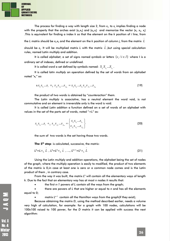

The process for finding a way with length size 2, from  $x_i$ , to  $x_j$  implies finding a node with the property that the arches exist ( $x_{i}$ , $x_{k}$ ) and ( $x_{k}$ , $x_{j}$ ) and memorize the vector ( $x_{i}$ ,  $x_{k}$ ,  $x_{j}$ ) .This is equivalent for finding a index *k* so that the element on the *k* position of *i* line, from

should be  $x_j$ . It will be multiplied matrix L with the matrix  $L$  ,but using special calculation ~ rules, named Latin multiply and addition.

the L matrix should be  $x_\nu x_k$  and the element on the  $k$  position of column  $j$ , from the matrix

It is called *alphabet*, a set of signs named *symbols* or *letters*  $\{s_i / i \in I\}$  where I is a ordinary *set* of indexes, defined or undefined.

It is called word a set defined by symbols named:  $S_i S_i ... S_i$ .

It is called *latin multiply* an operation defined by the set of *words* from an *alphabet* noted "x<sub>L</sub>" so:

$$
\mathbf{s} S_{i_1} S_{i_2} \dots S_i \times_L S_{j_1} S_{j_2} \dots S_{j_m} = S_{i_1} S_{i_2} \dots S_{i_n} S_{j_1} S_{j_2} \dots S_{j_m}
$$
(19)

the product of two words is obtained by "*counteraction*" them.

The *Latin multiply* is *associative*, has a neutral element the word void, is not commutative and an element is irreversible only is the word is void.

It is called *Latin addition* a function defined on a set of words of an alphabet with values in the set of the parts set of words, noted "*+L"* as:

$$
S_{i_1} S_{i_2} \dots S_i +_L S_{j_1} S_{j_2} \dots S_{j_m} = \begin{Bmatrix} S_{i_1} S_{i_2} \dots S_{i_n} \\ S_{j_1} S_{j_2} \dots S_{j_m} \end{Bmatrix}
$$
 (20)

the sum of two words is the set having those two words.

**The 5<sup>th</sup> step**: is calculated, successive, the matrix:

$$
L^{2} = L \times L \tilde{L}, L^{3} = L^{2} \times L \tilde{L}, ..., L^{k+1} = L^{k} \times L \tilde{L}
$$
 (21)

Using the Latin multiply and addition operations, the alphabet being the set of nodes of the graph, where the multiply operation is easily to modified, the product of two elements of the matrix is 0,in case at least one is zero or a common node comes and is the Latin product of them , in contrary case.

From the way it was built, the matrix  $L^k$  will contain all the elementary ways of length *k*. Due to the fact that an elementary way has at most *n* nodes it results that:

the first *n-1* powers of *L* contain all the ways from the graph;

 there are powers of *L* that are higher or equal to *n* and has all the elements equal to 0;

matrix  $L^{n-1}$  contain all the Hamilton ways from the graph(if they exist);

Because obtaining the matrix *D*, using the method described earlier, needs a volume very high of calculation, for example: for a graph with 100 nodes, calculations will be 100x100 raised to 100 power, for the *D* matrix it can be applied with success the next algorithm:

**Vol. 8** No. 4 Ninter 2018

MOVI

~ *L*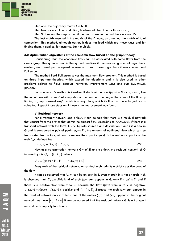

Step one: the adjacency matrix A is built;

Step two: for each line is addition, Boolean, all the *j* line for those  $a_{ii} = l$ ;

Step 3: it repeat the step two until the matrix remain the and there are no '1's.

The last matrix resulted is the matrix of the *D* ways, also named the matrix of total connection. This method, although easier, it does not lead which are those ways and for finding them, it applies, for instance, Latin multiply.

#### **3.2 Optimization algorithms of the economic flow based on the graph theory**

Considering that, the economic flows can be associated with some flows from the classic graph theory, in economic theory and practices it assumes using a set of algorithms, evolved, and developed in operation research. From these algorithms it was choose Ford Fulkerson.

The method Ford-Fulkerson solves the maximum flow problem. This method is based on three important theories, which exceed the algorithm and it is also used in other problems related to flows: residual networks, improvement ways and cuts [CORM02], [RADE02].

Ford-Fulkerson's method is iterative. It starts with a flow  $f(u, v) = 0$  for  $u, v \in V$ , like the initial flow with value 0.At every step of the iteration it enlarges the value of the flow by finding a "improvement way", which is a way along which its flow can be enlarged, so its value too. Repeat those steps until these is no improvement way found.

#### **a) Residual network**

For a transport network and a flow, it can be said that there is a residual network that consist from the arches that admit the biggest flow. According to [CORM02], if there is a transport network with the form: *G=(V, U)* with source *s* and destination *t*, and *f* is a flow in *G* and is considered a pair of peaks  $u, v \in V$ , the amount of additional flow which can be transported from *u* to *v*, without overcome the capacity *c(u,v),* is the residual capacity of the arch *(u,v)* defined by:

$$
c_f(u, v) = c(u, v) - f(u, v)
$$
\n(22)

Having a transportation network *G= (V,E)* and a *f* flow, the residual network of *G* induced by *f* is  $G_f = (V, E_f)$ , where:

$$
E_f = \{(u, v) \in V \times V : c_f(u, v) > 0\}
$$
\n(23)

Every arch of the residual network, or residual arch, admits a strictly positive grow of the flow.

It can be observed that *(u, v)* can be an arch in *Ef* even though it is not an arch in *E*, is observed that  $E_f$   $\underline{\not}E$  .This kind of arch  $(\nu,\nu)$  can appear in  $\bm{G}_f$  only if  $(\nu,u)\in E$  and if there is a positive flow from *v* to *u*. Because the flow *f(u,v)* from *u* to *v* is negative,  $c<sub>f</sub>(u,v) = c(u,v) - f(u,v)$  is positive and  $(u,v) \in E<sub>f</sub>$ . Because the arch  $(u,v)$  can appear in the residual network only if at least one of the arches *(u,v)* and *(v,u)* appear in the original network ,we have  $\left|E_{_{f}}\right|\le2\big|E\big|$  .It can be observed that the residual network  $\bm{G}_{\!f}$  is a transport network with capacity function *cf .* 

MOND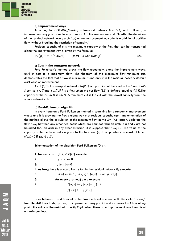

#### **b) Improvement ways**

According to [CORM02],"having a transport network *G= (V,E)* and a flow *f*, a improvement way *p* is a simple way from *s* to *t* in the residual network *Gf* . After the definition of the residual network, every arch *(u,v)* on an improvement way admits a additional positive flow ,without breaking the restriction of capacity."

Residual capacity of *p* is the maximum capacity of the flow that can be transported along the improvement way *p*, given by the formula:

$$
c_f(p) = \min\{c_f(u, v) : (u, v) \text{ is the way } p\}
$$
 (24)

#### **c) Cuts in the transport network**

Ford-Fulkerson's method grows the flow repeatedly, along the improvement ways, until it gets to a maximum flow. The theorem of the maximum flow-minimum cut, demonstrates the fact that a flow is maximum, if and only if in the residual network doesn't exist ways of improvement.

A cut *(S,T)* of a transport network *G=(V,E)* is a partition of the *V* set in the *S* and *T=V-S* set, so  $s \in S$  and  $t \in T$  .If *f* is a flow , then the cut flow *(S,T)* is defined equal to *f(S,T)*.The capacity of the cut *(S,T)* is *c(S,T).* A minimum cut is the cut with the lowest capacity from the whole network cuts.

#### **d) Ford-Fulkerson algorithm**

In every iteration a Ford-Fulkerson method is searching for a randomly improvement way *p* and it is growing the flow *f* along way *p* at residual capacity *cf (p).* Implementation of the method allows the calculation of the maximum flow in the *G= (V,E)* graph, updating the flow *f[u,v]* between any other two peaks which are bounded thru an arch. If *u* and *v* are not bounded thru an arch in any other direction, it is suppose that *f[u,v]=0*. The value of the capacity of the peaks  $u$  and  $v$  is given by the function  $c(u,v)$  computable in a constant time, *c*(*u*,*v*)=0 if  $(u, v) \notin E$ .

Schematization of the algorithm Ford-Fulkerson *(G,s,t):* 

1: **for** every arch  $(u, v) \in E[G]$  **execute** 

- 2:  $f[u,v] \leftarrow 0$
- 3:  $f[v,u] \leftarrow 0$

4: **as long** there is a way p from s to t in the residual network G<sub>f</sub> execute

5: 
$$
c_f(p) \leftarrow \min\{c_f(u,v): (u,v) \text{ is on } p \text{ way}\}
$$

6: **for every** arch 
$$
(u,v)
$$
 **dim** p **execute**

- 7:  $f[u,v] \leftarrow f[u,v] + c_f(p)$
- 8:  $f[v,u] \leftarrow -f[v,u]$

Lines between 1 and 3 initialize the flow *i* with value equal to 0. The cycle "as long" from the 4-8 lines finds, by turn, an improvement way p in  $G_{\rm f}$  and increases the  $f$  flow along p with the value of the residual capacity C<sub>í</sub>(p). When there is no improvement way then f is at a maximum flow.

Ninter 2018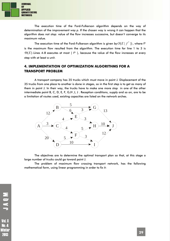

The execution time of the Ford-Fulkerson algorithm depends on the way of determination of the improvement way *p*. If the chosen way is wrong it can happen that the algorithm does not stop: value of the flow increases successive, but doesn't converge to its maximum value.

The execution time of the Ford-Fulkerson algorithm is given by  $O(E | f^*|)$ , where  $f^*$ is the maximum flow resulted from the algorithm. The execution time for line 1 to 3 is  $\Theta(E)$ .Lines 4-8 executes at most  $|f^*|$ , because the value of the flow increases at every step with at least a unit.

# **4. IMPLEMENTATION OF OPTIMIZATION ALGORITHMS FOR A TRANSPORT PROBLEM**

A transport company has 35 trucks which must move in point J. Displacement of the 35 trucks from one place to another is done in stages, so in the first step is to get as many of them in point J. In their way, the trucks have to make one more stop in one of the other intermediate point B, C, D, E, F, G,H, I, J. Reception conditions, supply and so on, are to be a limitation of routes used, existing capacities are listed on the network arches.



The objectives are to determine the optimal transport plan so that, at this stage a large number of trucks could go toward point J.

The problem of maximum flow crossing transport network, has the following mathematical form, using linear programming in order to fix it: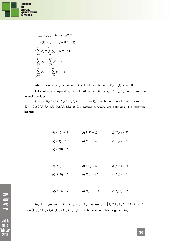

 $\int$ 

$$
z_{\max} = \varphi_{\max} \quad \text{in} \quad \text{condition}
$$
\n
$$
0 \leq \varphi_{ij} \leq c_{ij} \quad (i, j = \overline{0, n+1});
$$
\n
$$
\sum_{j=0}^{n+1} \varphi_{ij} = \sum_{j=0}^{n+1} \varphi_{ij} \quad (i = \overline{1, n});
$$
\n
$$
\sum_{j=0}^{m+1} \varphi_{j0} = \sum_{j=0}^{n+1} \varphi_{0j} - \varphi
$$
\n
$$
\sum_{j=0}^{n+1} \varphi_{j,n+1} = \sum_{j=0}^{n+1} \varphi_{n+1} + \varphi
$$

Where:  $u = (x_i, y_j)$  is the arch,  $\varphi$  is the flow value and  $\varphi_{(u)} = \varphi_{ij}$  is arch flow.

Automaton corresponding to algorithm is  $M = ( Q , \Sigma , \delta , q_{_0}, F )$  and has the following values

 $Q = \{A, B, C, D, E, F, G, H, I, J\}$  ,  $F = \{J\}$ , alphabet input is given by  $\Sigma = \{12,3,20,5,6,4,4,5,10,3,3,5,3,13,10,12\}$ , passing functions are defined in the following manner:

$$
\delta(A,12) = B \qquad \qquad \delta(B,5) = G \qquad \qquad \delta(C,4) = E
$$

 $\delta(A,3) = C$   $\delta(B,6) = E$   $\delta(C,4) = F$ 

$$
\delta(A,20)=D
$$

 $\delta(D,5) = F$   $\delta(E,3) = G$   $\delta(F,5) = H$  $\delta(E,3) = H$   $\delta(E,3) = H$   $\delta(F,3) = I$ 

 $\delta(G,13) = J$   $\delta(H,10) = J$   $\delta(I,12) = J$ 

 $G = (V_N, V_T, S, P)$  where  $V_N = \{A, B, C, D, E, F, G, H, I, J\}$ ,  $V_T = \{12,3,20,5,6,4,4,5,10,3,3,5,3,13,10,12\}$ , with the set of rules for generating:

**Vol. 8 No. 4 Ninter** 2013

**NOVL**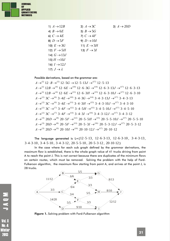

| 1) $A \rightarrow 12B$      | 2) $A \rightarrow 3C$  | 3) $A \rightarrow 20D$ |
|-----------------------------|------------------------|------------------------|
| 4) $B \rightarrow 6E$       | 5) $B \rightarrow 5G$  |                        |
| 6) $C \rightarrow 4E$       | 7) $C \rightarrow 4F$  |                        |
| 8) $D \rightarrow 5F$       | 9) $D \rightarrow 10I$ |                        |
| 10) $E \rightarrow 3G$      | 11) $E \rightarrow 3H$ |                        |
| 12) $F \rightarrow 5H$      | 13) $F \rightarrow 3I$ |                        |
| 14) $G \rightarrow 13J$     |                        |                        |
| 15) $H\rightarrow 10J$      |                        |                        |
| 16) $I \rightarrow 12J$     |                        |                        |
| 17) $J \rightarrow \lambda$ |                        |                        |

Possible derivations, based on the grammar are:

 $A \rightarrow$ <sup>(1)</sup>  $12 \cdot B \rightarrow$ <sup>(5)</sup>  $12 \cdot 5G \rightarrow 12 \cdot 5 \cdot 13J \rightarrow$ <sup>(17)</sup>  $12 \cdot 5 \cdot 13$  $A \rightarrow$ <sup>(1)</sup>  $12B \rightarrow$ <sup>(4)</sup>  $12 \cdot 6E \rightarrow$ <sup>(10)</sup>  $12 \cdot 6 \cdot 3G \rightarrow$ <sup>(14)</sup>  $12 \cdot 6 \cdot 3 \cdot 13J \rightarrow$ <sup>(17)</sup>  $12 \cdot 6 \cdot 3 \cdot 13$  $A \rightarrow$ <sup>(1)</sup>  $12B \rightarrow$ <sup>(4)</sup>  $12.6E \rightarrow$ <sup>(11)</sup>  $12.6.3H \rightarrow$ <sup>(15)</sup>  $12.6.3.10J \rightarrow$ <sup>(17)</sup>  $12.6.3.10J$  $A \rightarrow ^{(2)} 3C \rightarrow ^{(6)} 3.4E \rightarrow ^{(10)} 3.4.3G \rightarrow ^{(14)} 3.4.3.13J \rightarrow ^{(17)} 3.4.3.13$  $A \rightarrow ^{(2)} 3C \rightarrow ^{(6)} 3.4E \rightarrow ^{(11)} 3.4.3H \rightarrow ^{(15)} 3.4.3.10J \rightarrow ^{(17)} 3.4.3.10J$  $A \rightarrow ^{(2)} 3C \rightarrow ^{(7)} 3.4F \rightarrow ^{(12)} 3.4.5H \rightarrow ^{(15)} 3.4.5.10J \rightarrow ^{(17)} 3.4.5.10J$  $A \rightarrow ^{(2)} 3C \rightarrow ^{(7)} 3.4F \rightarrow ^{(13)} 3.4.3I \rightarrow ^{(16)} 3.4.3.12J \rightarrow ^{(17)} 3.4.3.12$  $A \rightarrow ^{(3)} 20D \rightarrow ^{(8)} 20.5F \rightarrow ^{(12)} 20.5.5H \rightarrow ^{(15)} 20.5.5.10J \rightarrow ^{(17)} 20.5.5.10J$  $A \rightarrow ^{(3)} 20D \rightarrow ^{(8)} 20.5F \rightarrow ^{(13)} 20.5.3I \rightarrow ^{(16)} 20.5.3.12J \rightarrow ^{(17)} 20.5.3.12J$  $A \rightarrow ^{(3)} 20D \rightarrow ^{(9)} 20.10I \rightarrow ^{(16)} 20.10.12J \rightarrow ^{(17)} 20.10.12J$ 

The language generated is  $L = \{12.5.13, 12.6.3.13, 12.6.3.10, 3.4.3.13,$  $3.4.3.10$ ,  $3.4.5.10$ ,  $3.4.3.12$ ,  $20.5.5.10$ ,  $20.5.3.12$ ,  $20.10.12$ }

In the case where for each sub graph defined by the grammar derivations, the maximum flow is established, there is the whole graph value of 41 trucks driving from point A to reach the point J. This is not correct because there are duplicates of the minimum flows on certain routes, which must be removed. Solving the problem with the help of Ford-Fulkerson algorithm, the maximum flow starting from point A, and arrives at the point J, is 28 trucks.



**Figure 1.** Solving problem with Ford-Fulkerson algorithm

**Vol. 8 No. 4** Winter 2018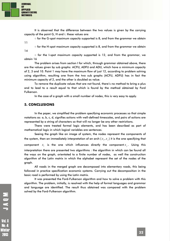**JOURNAL** 0F **APPLIED QUANTITATIVE METHODS** 

> It is observed that the difference between the two values is given by the carrying capacity of the point G, H and i. these values are:

> ○ for the G-spot maximum capacity supported is 8, and from the grammar we obtain 11

14

 $\circ$  for the H-spot maximum capacity supported is 8, and from the grammar we obtain

 $\circ$  for the I-spot maximum capacity supported is 12, and from the grammar, we obtain 16

The problem arises from section I for which, through grammar obtained above, there are the values given by sub graphs: ACFIJ, ADFIJ and ADIJ, which have a minimum capacity of 2, 3 and 10. Point 1 may have the maximum flow of just 12, according to problem solving using algorithm, resulting one from the two sub graphs (ACFIJ, ADFIJ) has in fact the minimum capacity of 2, and the other is doubled as value.

To remove the duplicate values that are not found, there's no method to bring a plus and to lead to a result equal to that which is found by the method obtained by Ford Fulkerson.

In the case of a graph with a small number of nodes, this is very easy to apply.

#### **5. CONCLUSIONS**

In the paper, we simplified the problem specifying economic processes so that simple notations as: a, b, c, d, signifies actions with well-defined timescales, and pairs of actions are represented by a string of characters so that will no longer be any other restrictions.

There were treated formal logic elements, and has been described as part of mathematical logic in which logical variables are sentences.

Seeing the graph like an image of system, the nodes represent the components of the system, then an immediately interpretation of an arch  $(x_i, x_j)$  it is the one specifying that component  $x_i$  is the one which influences directly the component  $x_i$ . Using this interpretation there are presented two algorithms : the algorithm in which can be found all the ways on the graph, orientated to a finite number of nodes, as well the construction algorithm of the Latin matrix in which the alphabet represent the set of the nodes of the graph.

All roads in the merged graph are decomposed into elementary roads, this being followed in practice specification economic systems. Carrying out the decomposition in the basic road is performed by using the Latin matrix.

It was presented the Ford-Fulkerson algorithm and how to solve a problem with this algorithm. The problem, initially, is resolved with the help of formal languages and grammar and language are identified. The result thus obtained was compared with the problem solved by the Ford-Fulkerson algorithm.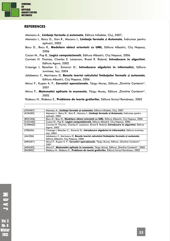

1

#### **REFERENCES**

Atanasiu A., **Limbaje formale și automate**, Editura Infodata, Cluj, 2007;

- Atanasiu I., Raicu D., Sion R., Mocanu I., **Limbaje formale și Automate**, Îndrumar pentru aplicații, 2002
- Bocu D., Bocu R*.,* **Modelare obiect orientată cu UML**, Editura Albastră, Cluj Napoca, 2006
- Cocan M., Pop B., **Logică computațională**, Editura Albastră, Cluj Napoca, 2006
- Cormen H. Thomas, Charles E. Leiserson, Rivest R. Roland, **Introducere în algoritmi**, Editura Agora, 2002
- Creanga I, Reischer C., Simovici D., **Introducere algebrică în informatică**, Editura Junimea, Iași, 2004
- Jalobeanu C, Marinescu D, **Bazele teoriei calculului limbajelor formale și automate**, Editura Albastră, Cluj Napoca, 2006
- Minut P., Kupan A. P., Cercetări operaționale, Târgu Mureș, Editura "Dimitrie Cantemir", 2001
- Minuț P., Matematici aplicate în economie, Târgu Mureș, Editura "Dimitrie Cantemir", 2002

Rădescu N., Rădescu E., **Probleme de teoria grafurilor**, Editura Scrisul Românesc, 2002

| [ATAN07]        | Atanasiu A., Limbaje formale si automate, Editura Infodata, Cluj, 2007                                                     |
|-----------------|----------------------------------------------------------------------------------------------------------------------------|
| [ATAN02]        | Atanasiu I., Raicu D., Sion R., Mocanu I., Limbaje formale și Automate, Îndrumar pentru<br>aplicatii, 2002                 |
| <b>IBOCU061</b> | Bocu D., Bocu R., Modelare obiect orientată cu UML, Editura Albastră, Cluj Napoca, 2006                                    |
| <b>ICOCA061</b> | Cocan M., Pop B., Logică computațională, Editura Albastră, Cluj Napoca, 2006                                               |
| [CORM02]        | Cormen H. Thomas, Charles E. Leiserson, Rivest R. Roland, Introducere în algoritmi, Editura<br>Agora, 2002                 |
| [CREA04]        | Creanga I, Reischer C., Simovici D., Introducere algebrică în informatică, Editura Junimea,<br>lasi, 2004                  |
| [JALO06]        | Jalobeanu C, Marinescu D, Bazele teoriei calculului limbajelor formale si automate,<br>Editura Albastră, Cluj Napoca, 2006 |
| [MINU01]        | Minuț P., Kupan A. P., Cercetări operaționale, Târgu Mureș, Editura "Dimitrie Cantemir",<br>2001                           |
| [MINU02]        | Minuț P., Matematici aplicate în economie, Târgu Mureș, Editura "Dimitrie Cantemir", 2002                                  |
| [RADE02]        | Rădescu N., Rădescu E., Probleme de teoria grafurilor, Editura Scrisul Românesc, 2002                                      |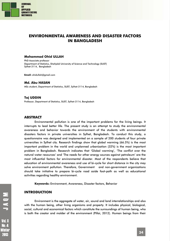

# **ENVIRONMENTAL AWARENESS AND DISASTER FACTORS IN BANGLADESH**

#### **Mohammad Ohid ULLAH**

PhD Associate professor Department of Statistics, Shahjalal University of Science and Technology (SUST) Sylhet-3114, Bangladesh

**Email:** ohidullah@gmail.com

#### **Md. Abu HASAN**

MSc student, Department of Statistics, SUST, Sylhet-3114, Bangladesh

#### **Taj UDDIN**

Professor, Department of Statistics, SUST, Sylhet-3114, Bangladesh

#### **ABSTRACT**

Environmental pollution is one of the important problems for the living beings. It interrupts to lead better life. The present study is an attempt to study the environmental awareness and behavior towards the environment of the students with environmental disasters factors in private universities in Sylhet, Bangladesh. To conduct this study, a questionnaire was designed and implemented on a sample of 200 students of four private universities in Sylhet city. Research findings show that global warming (66.5%) is the most important problem in the world and unplanned urbanization (32%) is the most important problem in Bangladesh. Research indicates that *'*Global warming', 'The conflict over the natural water resources' and 'The needs for other energy sources against petroleum' are the most influential factors for environmental disaster. Most of the respondents believe that education of environmental awareness and use of bi-cycle for short distance in the city may solve environment pollution. Therefore, Government and non-government organizations should take initiative to prepare bi-cycle road aside foot-path as well as educational activities regarding healthy environment.

**Keywords:** Environment, Awareness, Disaster factors, Behavior

#### **INTRODUCTION**

Environment is the aggregate of water, air, sound and land interrelationships and also with the human being, other living organisms and property. It includes physical, biological, social, cultural and economical factors which constitute the surroundings of human being, who is both the creator and molder of the environment (Pillai, 2012). Human beings from their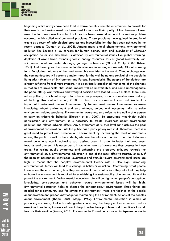

beginning of life always have been tried to derive benefits from the environment to provide for their needs, and environment has been used to improve their quality of life. Because of over uses of natural resources the natural balance has been broken down and thus serious problem occurred, which called environmental problems. Those problems have gained international extent as a result of technological progress and industrialization that has been achieved in the recent decades (Gulgan et al., 2008). Among many global phenomenons, environmental pollution has become a key concern for human beings. Each and everybody of whatever occupation he or she may have, is affected by environmental issues like global warming, depletion of ozone layer, dwindling forest, energy resources, loss of global biodiversity, air, soil, water pollutions, water shortage, garbage problems etc(Oluk & Ozalp, 2007; Bybee, 1991). And these types of environmental disasters are increasing enormously. Global warming turns Bangladesh into one of the most vulnerable countries in the world. Climate change over the coming decades will become a major threat for the well being and survival of the people in Bangladesh (Ministry of Environment and Forests, Bangladesh). The people of Bangladesh are already suffering from climate impacts. It is scientifically established that some of the changes in motion are irreversible, that some impacts will be unavoidable, and some unmanageable (Kalpana, 2012). Our mistakes and wrongful decision have leaded us such a place, there is no return pathway, which enforcing us to reshape our principles, responsive mechanisms and way of thinking (Krousouloudi et al., 2010). To keep our environment safe and livable it is important to raise environmental awareness. By the term environmental awareness we mean knowledge about environment and also attitude, values and necessary skills to solve environment related problems. Environmental awareness also refers to the ability of a person to carry on citizenship behavior (Shobeiri et al., 2007). To encourage meaningful public participation and environment, it is necessary to create awareness about environment pollution and related adverse effects. Any Government at its own level can't achieve the goal of environment conservation, until the public has a participatory role in it. Therefore, there is a great need to protect and preserve our environment by increasing the level of awareness among the public as well as the students, who are the future of a nation. The role of students would go a long way in achieving such desired goals. In order to faster their awareness towards environment, it is necessary to know what levels of awareness they possess in these areas. For raising public awareness and enhancing the protective attitudes towards the environmental issue, environmental education is one of the most effective strategy or role. If the peoples' perception, knowledge, awareness and attitude toward environmental issues are high, it means that the people's environmental literacy rate is also high. Increasing environmental literacy will lead to a change in behavior or action. Determining, what people know about the environment, how they feel about it, and what actions they take that may help or harm the environment is required to establishing the sustainability of a community and to protect the environment. Environmental education rate will be high when people's conception, knowledge, consciousness and behavior toward environmental issues will be high. Environmental education helps to change the concept about environment. Three things are needed for a community and for saving the environment; those are feelings of the people about environment, proper knowledge for maintaining the environment, actions of the peoples about environment (Thapa, 2001; Stapp, 1969). Environmental education is aimed at producing a citizenry that is knowledgeable concerning the biophysical environment and its associated problems, to aware of how to help to solve these problems and to motivate to work towards their solution (Kumar, 2011). Environmental Education acts as an indispensable tool in

**Vol. 8 No. 4** Winter 2018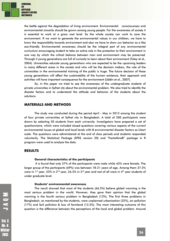

the battle against the degradation of living environment. Environmental consciousness and environmental sincerity should be grown among young people. For the awareness of society it is essential to work at a gross root level. So the whole society can work to save the environment. If we want to generate the environmental values in our children, we have to know the responsibility towards environment and also we have to show our behavior as a like eco-friendly. Environmental awareness should be the integral part of any environmental curriculum encouraging student to take an active role in the protection to their environment in one way by which the critical balance between man and environment may be preserved. Through it young generations are full of curiosity to learn about their environment (Talay et al., 2004). Universities educate young generations who are expected to be the upcoming leaders in many different areas in the society and who will be the decision makers, the role of the universities in the environmental training of the public is huge. The future decision of these young generations will affect the sustainability of the human existence, their approach and activities will have important consequence for the environment (Uddin et al., 2007).

So, in this paper we tried to see the awareness of the undergraduate students of private universities in Sylhet city about the environmental problem. We also tried to identify the disaster factors and to understand the attitude and behavior of the students about the solutions.

#### **MATERIALS AND METHODS**

The study was conducted during the period April - May in 2013 among the student of four private universities at Sylhet city in Bangladesh. A total of 200 participants were drawn by selecting 50 students from each university. Investigators have prepared a set of questionnaire, which were included closed questions covering various aspects of the current environmental issues at global and local levels with 8 environmental disaster factors as Likart scale. The questions were administered at the end of class periods and students responded voluntarily. The Statistical Package (SPSS version 20) and "FactoMineR" package in R program were used to analyze the data.

#### **RESULTS**

#### **General characteristics of the participants**

 It is found that only 57% of the participants were male while 43% were female. The larger group of the participants (69%) was between 18-21 years of age. Among them 37.5% were in 1st year, 33% in 2<sup>nd</sup> year, 26.5% in 3<sup>rd</sup> year and rest of all were in 4<sup>th</sup> year students of under graduate level.

#### **Students' environmental awareness**

The result showed that most of the students (66.5%) believe global warming is the most serious problem in the world. However, they gave their opinion that the global warming is the fourth serious problem in Bangladesh (13%). The first three problems in Bangladesh, as mentioned by the students, were unplanned urbanization (32%), air pollution (17%) and Soil pollution & loss of farmland (13.5%). The most interesting outcome of this question is the difference between the perceptions of the local and global problem. Around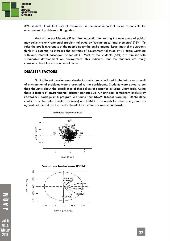

39% students think that lack of awareness is the most important factor responsible for environmental problems in Bangladesh.

Most of the participants (57%) think 'education for raising the awareness of public' may solve the environmental problem followed by 'technological improvements' (16%). To raise the public awareness of the people about the environmental issue, most of the students think it is essential to increase the activities of government followed by TV-Radio watching with and internet (facebook, twitter etc.). Most of the students (63%) are familiar with sustainable development on environment; this indicates that the students are really conscious about the environmental issues.

#### **DISASTER FACTORS**

Eight different disaster scenarios/factors which may be faced in the future as a result of environmental problems were presented to the participants. Students were asked to put their thoughts about the possibilities of these disaster scenarios by using Likart scale. Using these 8 factors of environmental disaster scenarios we run principal component analysis by *FactoMineR* package in R program We found that DSGW (Global warming), DSNWR(The conflict over the natural water resources) and DSNOE (The needs for other energy sources against petroleum) are the most influential factors for environmental disaster.



**Variables factor map (PCA)**



Vol. 8 Winter 

**NON**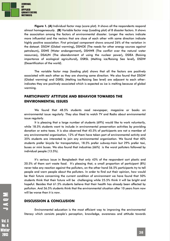

**Figure 1. (A)** Individual factor map (score plot). It shows all the respondents respond almost homogeneously. **(B)** Variable factor map (Loading plot) of 8 disaster factors. It shows the association among the factors of environmental disaster. Longer the vectors indicate more influential and the vectors that are close of each other with same direction indicate highly positive association. First principal component shows around 26% of the variation in the dataset. DSGW (Global warming)**,** DSNOE (The needs for other energy sources against petroleum)**,** DSWE (Water endangerment)**,** DSNWR (The conflict over the natural water resources)**,** DSAUN (The abandonment of using the nuclear power)**,** DSIEA (Raising importance of ecological agricultural)**,** DSRSL (Melting ice/Raising Sea level)**,** DSDW (Desertification of the world).

The variable factor map (loading plot) shows that all the factors are positively associated with each other as they are showing same direction. We also found that DSGW (Global warming) and DSRSL (Melting ice/Raising Sea level) are adjacent to each otherindicates they are positively associated which is expected as ice is melting because of global warming.

# **PARTICIPANTS' ATTITUDE AND BEHAVIOR TOWARDS THE ENVIRONMENTAL ISSUES**

We found that 48.5% students read newspaper, magazine or books on environmental issue regularly. They also liked to watch TV and Radio about environmental issue regularly.

It is pleasing that a large number of students (69%) would like to work voluntarily, while 18.5% students want to include in environmental preservation activities by providing donation or extra taxes. It is also observed that 45.5% of participants are not a member of any environmental organization, 12% of them have taken part of environmental activity and 35% students are interested to join any environmental organization. We found that 40% students prefer bicycle for transportation, 18.5% prefer subway-train but 29% prefer taxi, buses or mini buses. We also found that industries (66%) is the worst polluters followed by individual people (13.5%).

It's serious issue in Bangladesh that only 43% of the respondent sort plastic and 20.5% of them sort waste food. It's pleasing that, a small proportion of participant (8%) never take any reaction against the polluters, on the other hand 56.5% participants try to tell people and warn people about the polluters. In order to find out their opinion, how would be their future concerning the current condition of environment we have found that 50% students think that their future will be challenging while 25.5% think it will be bright and hopeful. Besides that 61.5% students believe that their health has already been affected by pollution. And 56.5% students think that the environmental situation after 10 years from now will be worse than it is now.

#### **DISCUSSION & CONCLUSION**

Environmental education is the most efficient way to improving the environmental literacy which consists people's perception, knowledge, awareness and attitude towards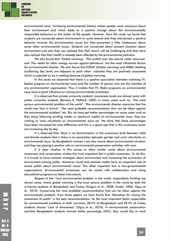

environmental issue. Increasing environmental literacy makes people more conscious about their environment and which leads to a positive change about the environmentally responsible behaviors or the action of the people. However, from this study we found that students are concerned about environment to some extents and they maintained a positive behavior towards the environmental issues but they presented a little inadequacy about some other environmental issues. Students are concerned about present situation about environment and also they can realized that their future will be challenging and they have also noticed that their health is already been affected by the environmental pollution.

We also found that 'Global warming', 'The conflict over the natural water resources' and 'The needs for other energy sources against petroleum' are the most influential factors for environmental disaster. We also found that DSGW (Global warming) and DSRSL (Melting ice/Raising Sea level) are adjacent to each other- indicates they are positively associated which is expected as ice is melting because of global warming.

In this study we observed that there is a positive association between watching TV, Radios program on environmental issue and the number of person who are the member of any environmental organization. Thus it implies that TV, Radio programs on environmental issue have a great influence on raising environmental awareness.

It is observed that private university students' awareness levels are almost same with public university students (Barraza & Walford, 2002) in many cases such as, "the most serious environmental problem of the world", "the environmental disaster scenarios that the world may face in future", "the most probable recommendation that can be taken against the environmental problem" etc. But we have got better percentages on some cases such as they enjoy following printing media or electronic media on environmental issue, they are wishing to work voluntarily on environmental issue etc. We think that these percentages have been increased for time difference and this is a good sign that is the awareness levels are increasing day by day.

It is observed that, there is no discrimination in the awareness level between male and female students that is there is no association between gender and work voluntarily on environmental issue. So Bangladeshi women's are also aware about environmental situation and they are playing a positive role on environmental preservation activities with men.

It is clear whether in this survey or other similar works about environmental awareness and conservation studies the most important fact is public awareness. To do this, it is crucial to have national strategies about environment and increasing the awareness of environment among public. Moreover visual and pressed media have an important role of aware public about environmental issues. The other important fact is non-governmental organizations. Environmental awareness can be raised with collaboration and rising educational programs on these instruments.

Respect to the most environmental problem in the world, respondents thinking are almost same, where global warming is the most serious problem in the world by both the university students of Bangladesh and Turkey (Gulgun et al., 2008; Onder, 2006; Oguz et al., 2010). Concerning the most probable recommendation that can be taken against the environmental problem, from those papers we have found that "Education for raising the awareness of public" is the best recommendation. As the most important factor responsible for environmental problems in both countries, 38.5% of Bangladeshi and 28.4% of Turkey students choose "Lack of Awareness" (Oguz et al., 2010). In environmental preservation activities Bangladeshi students showed better percentage (69%), they would like to work

**Vol. 8 No. 4** Winter 2018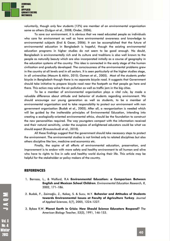

voluntarily, though only few students (12%) are member of an environmental organization same as others (Gulgun et al., 2008; Onder, 2006).

To save our environment, it is obvious that we need educated people as individuals who care for environment as well as have environmental awareness and knowledge to environmental subjects (Erol & Gezer, 2006). It can be accomplished that the future of environmental education in Bangladesh is hopeful, though the existing environmental education programs in higher studies do not seem to be good enough. No doubt, Bangladesh is environmentally rich and its culture and traditions is also well known to the people as naturally beauty which are also incorporated initially as a course of geography in the education systems of the country. This idea is connected in the early stage of the human civilization and gradually developed. The consciousness of the environmental problems grew in the country at all levels and in all sectors. It is seen particularly at the higher studies stage, in all universities (Masum & Akhir, 2010; Ozmen et al., 2005). Most of the students prefer bicycle in Bangladesh though there is no separate bicycle road. It suggests that Government should take initiative to prepare bicycle road near the footpath so that people go here and there. This action may solve the air pollution as well as traffic jam in the big cities.

To be a member of environmental organization plays a vital rule, by made a valuable difference about attitude and behavior of students regarding environment. We should encourage our young generation as well as students, to be a member of environmental organization and to take responsibility to protect our environment with non government organization (Budak et al., 2005). After all, a reorganization is needed which will be guided by the inalterable principles of Environmental Education, intending into creating a ecologically-oriented environmental ethics, should be the foundation to construct the new personalities required. The way youngsters compact with the information received and their natural sensitivity, under the auspices of enlightened educators could be what we should expect (Krousouloudi et al., 2010).

All these findings suggest that the government should take necessary steps to protect the environment. The environmental studies is not limited only to related disciplines but also others discipline like law, medicine and economics etc.

Finally, the aspire of all efforts of environmental education, preservation, and improvement is to endow with more safety and healthy environment to all human and alive who have to rights to live in safe and healthy world during their life. This article may be helpful for the stakeholder or policy makers of the country.

#### **REFERENCES**

- 1. Barraza, L., & Walford, R.A **Environmental Education: a Comparison Between English and Mexican School Children**. *Environmental Education Research, 8*, 2002, 171–186.
- 2. Budak, F., Zaimoğlu, Z., Kekeç, S. & Sucu, M.Y. **Behavior and Attitudes of Students towards Environmental Issues at Faculty of Agriculture Turkey**. *Journal of Applied Sciences, 5(7)*, 2005, 1224-1227.
- 3. Bybee R.W. **Planet Earth in Crisis: How Should Science Educators Respond?** *The American Biology Teacher, 53*(3), 1991, 146-153.

**Vol. 8 No. 4** Ninter 2018

MOND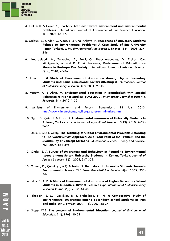

- 4. Erol, G.H. & Gezer, K., Teachers' **Attitudes toward Environment and Environmental Problems**. International Journal of Environmental and Science Education, 1(1), 2006, 65-77.
- 5. Gulgun, B., Onder, S., Aktas, E. & Unal Ankaya, F. **Responses of University Students Related to Environmental Problems: A Case Study of Ege University (Izmir-Turkey)**. *J. Int. Environmental Application & Science, 3* (4), 2008, 234- 246.
- 6. Krousouloudi, N., Terzoglou, E., Bakti, G., Theocharopoulos, D., Tsekos, C.A, Mimigiannis, A. and D. P. Matthopoulos, **Environmental Education as Means to Reshape Our Society**, International Journal of Arts and Sciences 3(19), 2010, 28-36
- 7. Kumar, P. **A Study of Environmental Awareness Among Higher Secondary Students and Some Educational Factors Affecting it**. *International Journal of Multidisciplinary Research, 1*(7), 2011, 90-101
- 8. Masum, A. & Akhir, M. **Environmental Education in Bangladesh with Special Reference to Higher Studies (1992-2009)**. *International Journal of History & Research, 1*(1), 2010, 1-32.
- 9. Ministry of Environment and Forests, Bangladesh. 18 July, 2013. http://www.climatechange-cell.org.bd/recent-initiatives.html
- 10. Oguz, D., Çakci, I. & Kavas, S. **Environmental awareness of University Students in Ankara, Turkey***, African Journal of Agricultural Research, 5*(19), 2010, 2629- 2636.
- 11. Oluk, S. And I. Ozalp, **The Teaching of Global Environmental Problems According to The Constructivist Approach: As a Focal Point of the Problem and the Availability of Concept Cartoons**. *Educational Sciences: Theory and Practice, 7*(2), 2007, 881-896.
- 12. Onder, S. **A Survey of Awareness and Behaviour in Regard to Environmental Issues among Selcuk University Students in Konya, Turkey**. *Journal of Applied Sciences, 6* (2), 2006, 347-352.
- 13. Ozmen, D., Çetinkaya, A.Ç. & Nehir, S. **Behaviors of University Students Towards Environmental Issues**. *TAF Preventive Medicine Bulletin, 4*(6), 2005, 330- 344.
- 14. Pillai, S. K. P. **A Study of Environmental Awareness of Higher Secondary School Students in Cuddalore District**. *Research Expo International Multidisciplinary Research Journal 2*(2), 2012, 44-48.
- 15. Shobeiri, S. M., Omidvar, B. & Prahallada, N. N. **A Comperative Study of Environmental Awareness among Secondary School Students in Iran and India**. *Int. J. Environ. Res., 1* (1), 2007, 28-34.
- 16. Stapp, W.B. **The concept of Environmental Education**. *Journal of Environmental Education. 1*(1), 1969, 30-31.

JA0M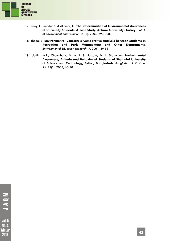

**NONT** 

**Vol. 8 No. 4** Winter 2013

- 17. Talay, I., Gündüz S. & Akpınar, N. **The Determination of Environmental Awareness of University Students. A Case Study: Ankara University, Turkey**. *Int. J. of Environment and Pollution, 21*(3), 2004, 293-308.
- 18. Thapa, B. **Environmental Concern: a Comparative Analysis between Students in Recreation and Park Management and Other Departments**. *Environmental Education Research, 7*, 2001, 39-53.
- 19. Uddin, M.T., Chowdhury, M. A. I. & Hossain, M. I. **Study on Environmental Awareness, Attitude and Behavior of Students of Shahjalal University of Science and Technology, Sylhet, Bangladesh**. *Bangladesh J. Environ. Sci. 13*(2), 2007, 65-70.

**42**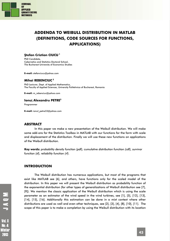

# **ADDENDA TO WEIBULL DISTRIBUTION IN MATLAB (DEFINITIONS, CODE SOURCES FOR FUNCTIONS, APPLICATIONS)**

#### **Ştefan Cristian CIUCU 1**

PhD Candidate, Cybernetics and Statistics Doctoral School, The Bucharest University of Economics Studies

**E-mail:** stefanciucu@yahoo.com

#### **Mihai REBENCIUC <sup>2</sup>**

PhD Lecturer, Dept. of Applied Mathematics, The Faculty of Applied Sciences, University Politehnica of Bucharest, Romania

**E-mail:** m\_rebenciuc@yahoo.com

#### **Ionuţ Alexandru PETRE3**

Programmer

**E-mail:** ionut\_petre33@yahoo.com

#### **ABSTRACT**

In this paper we make a new presentation of the Weibull distribution. We will make some add-ons for the Statistics Toolbox in MATLAB with our functions for the form with scale and displacement of the distribution. Finally we will use these new functions on applications of the Weibull distribution.

**Key words:** *probability density function (pdf), cumulative distribution function (cdf), survivor function (sf), reliability function (rf).*

#### **INTRODUCTION**

The Weibull distribution has numerous applications, but most of the programs that exist like MATLAB see [6], and others, have functions only for the scaled model of the distribution. In this paper we will present the Weibull distribution as probability function of the exponential distribution (for other types of generalizations of Weibull distribution see [7], [9]). We mention the classic application of the Weibull distribution which is using the scale parameter as an estimator of the wind speed in the wind turbines, see [1], [5], [12], [13], [14], [15], [16]. Additionally this estimation can be done in a mixt context where other distributions are used as well and even other techniques, see [2], [3], [4], [8], [10], [11]. The scope of this paper is to make a completion by using the Weibull distribution with its location

**Vol. 8** Ninter 2018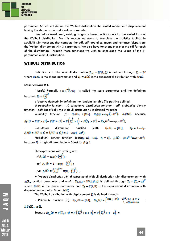

parameter. So we will define the Weibull distribution the scaled model with displacement having the shape, scale and location parameter.

Like before mentioned, existing programs have functions only for the scaled form of the Weibull distribution. For this reason we come to complete the statistics toolbox in MATLAB with functions that compute the pdf, cdf, quantiles, mean and variance (dispersion) the Weibull distribution with 3 parameters. We also have functions that plot the cdf for each of the distribution. Through these functions we wish to encourage the usage of the 3 parameter Weibull distribution.

#### **WEIBULL DISTRIBUTION**

Definition 2.1. The Weibull distribution  $T_{[W]} = W(\lambda, \beta)$  is defined through  $T_{\overline{B}} = T^{\beta}$ where  $\beta \in \mathbb{R}^*$  is the shape parameter and  $T_{\overline{B}} = \mathcal{E}(\lambda)$  is the exponential distribution with  $\lambda \in \mathbb{R}^*$ .

#### *Observations 2.1.*

*i (scale)* Formally  $c = \lambda^{-\frac{1}{\beta}} e\mathbb{R}^*$  is called the scale parameter and the definition becomes  $T_E = \left(\frac{T}{L}\right)^{\beta}$ .

*ii (positive defined)* By definition the random variable *T* is positive defined.

*iii (reliability function – rf, cumulative distribution function – cdf, probability density function – pdf)* Specifically the Weibull distribution *T* is defined through:

*Reliability function* (rf):  $R_T: \mathbb{R}_+ \to [0,1]$ ,  $R_T(t) = \exp(-\lambda t^{\beta})$ ,  $\lambda, \beta \in \mathbb{R}_+^*$  because

$$
R_T(t) = P(T > t)\big(= P(T > t)\big) = P\left(T_a^B > t\right) = P(T_a > t^B) = R_{T_a}(t^B) = \exp(-\lambda t^B).
$$

Cumulative distribution function (cdf):  $F_T: \mathbb{R}_+ \to [0,1]$ ,  $F_T = 1 - R_T$ ,  $F_r(t) = P(T \le t) = (P(T < t)) = 1 - \exp(-\lambda t^{\beta});$ 

Probability density function (pdf):  $f_{\overline{z}} \colon \mathbb{R}^n_+ \to \mathbb{R}^n_+$ ,  $f_{\overline{z}} = F_{\overline{z}}^t$ ,  $f_{\overline{z}}(t) = \beta \lambda t^{\beta-1} \exp(-\lambda t^{\beta})$ because  $F_T$  is right differentiable in 0 just for  $\beta \ge 1$ .

The expressions with scaling are:

$$
-rf: R_T(t) = \exp(-\left(\frac{t}{e}\right)^{\beta}),
$$
  

$$
-cdf: F_T(t) = 1 - \exp(-\left(\frac{t}{e}\right)^{\beta}),
$$
  

$$
-pdf: f_T(t) = \frac{\beta}{e} \left(\frac{t}{e}\right)^{\beta-1} \exp(-\left(\frac{t}{e}\right)^{\beta}),
$$

*iv (Weibull distribution with displacement)* Weibull distribution with displacement (with  $a\in\mathbb{R}_+$  location parameter and  $a=0$  )  $\tilde{\mathbf{I}}_{[w1]a]}=W(\lambda,\beta,a)$  is defined through  $\tilde{\mathbf{I}}_B=\left(\tilde{\mathbf{I}}_a-a\right)^\beta$ where  $\beta e \mathbb{R}_+^*$  is the shape parameter and  $\mathbb{T}_F = E(\lambda, 0)$  is the exponential distribution with displacement equal to 0 and  $\text{Im} \mathbb{R}^*$ .

The Weibull distribution with displacement  $\tilde{\mathbf{T}}_a$  is defined through:

$$
\text{Reliability function (rf):} \quad R_{\mathbb{T}_\alpha}: \mathbb{R} \to [0,1], \quad R_{\mathbb{T}_\alpha}(t) = \begin{cases} \exp\left(-\lambda(t-\alpha)^{\beta}, t > \alpha \geq 0 \\ 1, \text{ otherwise} \end{cases};
$$

 $\lambda$ ,  $\beta$ e $\mathbb{R}^n$ , ae $\mathbb{R}$ .

Because 
$$
R_{\mathbb{T}_\alpha}(t) = P(\mathbb{T}_\alpha > t) = P(\mathbb{T}_\alpha^{\frac{1}{\alpha}} + \alpha > t) = P(\mathbb{T}_\alpha^{\frac{1}{\alpha}} > t - \alpha) =
$$

**NONU**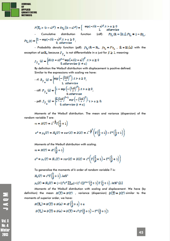

$$
P(\mathbb{T}_a > (t-a)^{\beta}) = R_{\mathbb{T}_a}((t-a)^{\beta}) = \begin{cases} \exp(-\lambda(t-a)^{\beta}, t > a \ge 0 \\ 1, \quad \text{otherwise} \end{cases}
$$
  
\nCumulative distribution function (cdf):  $F_{\mathbb{T}_a} : \mathbb{R} \to [0,1], F_{\mathbb{T}_a} = 1 - \mathbb{R}_{\mathbb{T}_a},$   
\n
$$
F_{\mathbb{T}_a}(t) = \begin{cases} 1 - \exp(-\lambda(t-a)^{\beta}, t > a \ge 0 \\ 0, \text{ otherwise} \end{cases}
$$

- Probability density function (pdf):  $f_{\tilde{\P}_a} : \mathbb{R} \to \mathbb{R}_+$ ,  $f_{\tilde{\P}_a} = F^t_{\tilde{\P}_a}$ ,  $\mathbb{R} = \mathbb{R}\setminus \{a\}$  with the exception of  $a \in \mathbb{R}_+$  because  $F_{\tilde{r}_a}$  is not differantiable in *a* just for  $\beta \ge 1$ , meaning:

$$
f_{\widehat{T}_{\alpha}}(c) = \begin{cases} \beta \lambda(t-a)^{\beta-1} \exp\left(-\lambda(t-a)\right)^{\beta}, t > a \ge 0\\ 0, \text{otherwise } (t \neq a) \end{cases}
$$

By definition the Weibull distribution with displacement is positive defined. Similar to the expressions with scaling we have:

$$
\mathbf{f} \cdot R_{\widetilde{T}_{\alpha}}(t) = \begin{cases} \exp\left(-\left(\frac{t-\alpha}{\alpha}\right)^{\beta}\right), t > \alpha \ge 0, \\ 1, \text{ otherwise} \end{cases}
$$

$$
-\text{cdf} \cdot F_{\widetilde{T}_{\alpha}}(t) = \begin{cases} 1 - \exp\left(-\left(\frac{t-\alpha}{\alpha}\right)^{\beta}\right), t > \alpha \ge 0, \\ 0, \text{ otherwise} \end{cases}
$$

$$
-\text{pdf} \cdot f_{\widetilde{T}_{\alpha}}(t) = \begin{cases} \frac{\beta}{\alpha} \left(\frac{t-\alpha}{\alpha}\right)^{\beta-1} \exp\left(-\left(\frac{t-\alpha}{\alpha}\right)^{\beta}\right), t > \alpha \ge 0; \\ 0, \text{ otherwise } (t \neq \alpha) \end{cases}
$$

*Moments of the Weibull distribution*. The mean and variance (dispersion) of the random variable *T* are:

$$
m = M(T) = \lambda^{-\frac{1}{\beta}} \Gamma(\frac{1}{\beta} + 1)
$$
  

$$
\sigma^2 = \mu_2(T) = \hat{M}_2(T) = \nu \text{ar}(X) = D(X) = \lambda^{-\frac{1}{\beta}^2} \left( \Gamma(\frac{2}{\beta} + 1) - \Gamma^2(\frac{1}{\beta} + 1) \right)
$$

*Moments of the Weibull distribution with scaling*.  $m = M(T) = c\Gamma\left(\frac{1}{\beta} + 1\right)$ 

$$
\sigma^2 = \mu_{\pi}(T) = M_{\pi}(T) = var(X) = D(X) = c^2 \left( \Gamma \left( \frac{2}{\beta} + 1 \right) - \Gamma^2 \left( \frac{1}{\beta} + 1 \right) \right)
$$

To generalize the moments of *k* order of random variable *T* is:

$$
M_k(T) = c^k \Gamma\left(\frac{k}{\beta} + 1\right), k \in \mathbb{N}^*
$$
  

$$
\mu_k(T) = M_k(T) = (-1)^k c^k \sum_{k=0}^k (-1)^k C_k^k \Gamma^{k-1} \left(\frac{1}{\beta} + 1\right) \Gamma\left(\frac{t}{\beta} + 1\right), k \in \mathbb{N}^* \setminus \{1\}
$$

*Moments of the Weibull distribution with scaling and displacement*. We have (by definition) the mean  $M(T) = M(T)$  , variance (dispersion)  $D(T) = D(T)$  similar to the moments of superior order, we have:

$$
M(\Upsilon_a) = M(\Upsilon) + M(a) = c\Gamma\left(\frac{1}{\beta} + 1\right) + a
$$
  

$$
D(\Upsilon_a) = D(\Upsilon) + D(a) = D(\Upsilon) = c^2(\Gamma\left(\frac{a}{\beta} + 1\right) - \Gamma^2\left(\frac{1}{\beta} + 1\right))
$$

MOND<br>P

**Vol. 8** No. 4 **Ninter** 2013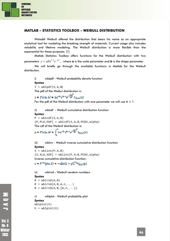

#### **MATLAB – STATISTICS TOOLBOX – WEIBULL DISTRIBUTION**

Waloddi Weibull offered the distribution that bears his name as an appropriate analytical tool for modeling the breaking strength of materials. Current usage also includes reliability and lifetime modeling. The Weibull distribution is more flexible than the exponential for these purposes. [1]

Matlab Statistics Toolbox offers functions for the Weibull distribution with two parameters  $v = abx^{b-1}e^{-ax^b}$  , where **a** is the scale parameter and **b** is the shape parameter.

We will briefly go through the available functions in Matlab for the Weibull distribution.

i) wblpdf - Weibull probability density function

#### **Syntax**

 $Y = \text{wblpdf}(X, A, B)$ The pdf of the Weibul distribution is:

$$
y = f(x|a, b) = ba^{-b}x^{b-1}e^{-\left(\frac{b}{a}\right)^2}I_{(0, -\frac{1}{a})}(x)
$$

For the pdf of the Weibull distribution with one parameter we will use  $A = 1$ .

ii) wblcdf - Weibull cumulative distribution function

#### **Syntax**

```
P = \text{wblcdf}(X, A, B)[P, PLO, PUP] = \text{wblcdf}(X, A, B, PCOV, alpha)The cdf of the Weibull distribution is:
```

$$
p = F(x|a, b) = \int_0^R b a^{-b} t^{b-1} e^{-\left(\frac{t}{a}\right)^b} I_{(0|a)}(x)
$$

iii) wblinv - Weibull inverse cumulative distribution function **Syntax** 

```
X = \text{whlinv}(P, A, B)[X,XLO,XUP] = whlinv(P,A,B,PCOV,alpha)Inverse cumulative distribution function: 
x = F^{-1}(p|a, b) = -a[\ln(1-p)]^{1/b}I_{[a, 1]}(p)
```

```
iv) wblrnd – Weibull random numbers 
Syntax 
R = whlrnd(A, B)R = \text{wblrnd}(A, B, m, n, \dots)
```

```
R = \text{wblrnd}(A, B, [m, n, \dots])
```

```
v) wblplot - Weibull probability plot 
Syntax 
wblplot(X)
```

```
h = \text{wblplot}(X)
```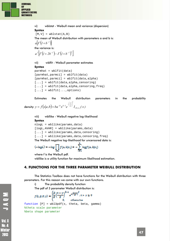

vi) wblstat - Weibull mean and variance (dispersion) **Syntax**   $[M,V] = Wblstat(A,B)$ The mean of Weibull distribution with parameters a and b is:  $a|\Gamma(l+b^{-1})|$ the variance is:  $a^{2}$   $\left[ \Gamma \left( 1+2b^{-1} \right) - \Gamma \left( 1+b^{-1} \right) \right]$ vii) wblfit - Weibull parameter estimates **Syntax**   $paramhat = *whlfit(data)*$ 

```
[parmhat,parmci] = wblfit(data)
[parmhat,parmci] = wblfit(data,alpha) 
[...] = wblfit(data, alpha, censoring)
[...] = wblfit(data, alpha, censoring, freq)
[...] = \text{whlift}(\ldots, \text{options})
```
Estimates the Weibull distribution parameters in the probability density:  $y = f\left( x|a,b \right) = ba^{-b}x^{b-l}e^{\left( x\right) } \left( \frac{x}{a,b} \right)$ *x*  $b \cdot b - l$ *b* ,œ  $= f(x|a,b) = ba^{-b}x^{b-1}e^{-\frac{x}{a}}$ 

viii) wbllike - Weibull negative log-likelihood **Syntax**  nlogL = wbllike(params,data)

```
[logL,AVAR] = wbllike(params,data) 
[...] = wbllike(params,data,censoring)
[...] = wbllike(params,data,censoring,freq)
The Weibull negative log-likelihood for uncensored data is:
```

$$
(-\log L) = -\log \prod_{i=1}^n f(a_i b | x_i) = -\sum_{i=1}^n \log f(a_i b | x_i)
$$

where *f* is the Weibull pdf. wbllike is a utility function for maximum likelihood estimation.

# **4. FUNCTIONS FOR THE THREE PARAMETER WEIBULL DISTRIBUTION**

The Statistics Toolbox does not have functions for the Weibull distribution with three parameters. For this reason we come with our own functions.

i) The probability density function

The pdf of 3 parameter Weibull distribution is:<br>  $f(t, \beta, \theta, \gamma) = \begin{cases} \frac{\beta}{\theta} \left(\frac{t - \gamma}{\theta}\right)^{\beta - 1} e^{-\left(\frac{t - \gamma}{\theta}\right)^{\beta}}, t > \gamma \ge 0 \end{cases}$ atherwise function  $[P] = wb13pdf(x, theta, beta, gamma)$ %theta scale parameter %beta shape parameter

Winter 2018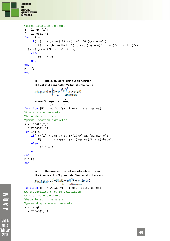

```
%gamma location parameter
n = length(x);f = zeros(1, n);for i=1:n 
    if((x(i) > gamma) & & (x(i)>0) & & (gamma(gamma)) = 0)f(i) = (beta/theta)*( (x(i)-gamma)/theta)<sup>*</sup>(beta-1) )*exp( -
(x(i)-gamma)/theta )\hat{b} else
        f(i) = 0; end 
end
P = f;
end
```
ii) The cumulative distribution function The cdf of 3 parameter Weibull distribution is:

$$
F(\mathbf{t}, \beta, \theta, \gamma) = \begin{cases} 1 - e^{-\left(\frac{\mathbf{t} - \gamma}{\beta}\right)^{\beta}}, \mathbf{t} > \gamma \ge 0 \\ 0, \quad \text{otherwise} \end{cases}
$$
  
where  $\theta = \frac{I}{\beta/\lambda}$ ,  $\lambda = \frac{I}{\theta^{\beta}}$ ;

```
function [P] = \text{wbl}3\text{cdf}(x, \text{theta}, \text{beta}, \text{gamma})%theta scale parameter
%beta shape parameter
%gamma location parameter
n = length(x);F = zeros(1, n);for i=1:n 
     if( (x(i) > gamma) & & (x(i)>0) & & (gamma) = 0))F(i) = 1 - exp(-((x(i) - gamma)/theta)^{\text{beta}}) else
          F(i) = 0; end
end
P = Fend
```
iii) The inverse cumulative distribution function The inverse cdf of 3 parameter Weibull distribution is:

```
F(p,\beta,\theta,\gamma) = \begin{cases} -\theta\bigl[\ln(1-p)\bigr]^{1/\beta} + \gamma\;, 1p \geq 0 \\ 0, \qquad \text{otherwise} \end{cases}atherwise
```

```
function [P] = whl3inv(x, theta, beta, gamma)%x probability that is calculated
%theta scale parameter
%beta location parameter
%gamma displacement parameter
n = length(x);F = zeros(1, n);
```
**NOV** 

**Vol. 8** Winter 2018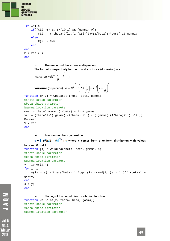

```
for i=1:n 
     if((x(i)>0) && (x(i)<1) && (gamma>=0)) 
        F(i) = (-theta*((log(1-(x(i)))))(1/beta))) * sqrt(-1) - gamma; else
        F(i) = NaN end 
end
P = real(F);end
```
iv) The mean and the variance (dispersion) The formulas respectively for mean and **variance** (dispersion) are:

```
mean: m = \theta \Gamma \left( \frac{1}{\beta} + 1 \right) + \gamma\left(\frac{I}{\beta}+I\right)\setminusm = \theta \Gamma \left( \frac{1}{2} + 1 \right)variance (dispersion): \sigma = \theta^2 |I|| I + \frac{1}{\rho} |-I^2| I + \frac{1}{\rho} ||I||\overline{\phantom{a}}\left[\Gamma\left(1+\frac{2}{\rho}\right)-\Gamma^2\left(1+\frac{1}{\rho}\right)\right]L
                                                                                 \mathsf{I}

                                                                                                                     \left(1+\frac{1}{\beta}\right)\bigg) - \Gamma^2 \bigg( I +\left(1+\frac{2}{\beta}\right)\setminus=\theta^2\left[\frac{\Gamma}{I}\right]+_{\beta}Г
                                                                                                  \beta\sigma = \theta^2 \left[ \Gamma \left( 1 + \frac{2}{\epsilon} \right) - \Gamma^2 \left( 1 + \frac{1}{\epsilon} \right) \right]function [M V] = wbl3stat(theta, beta, gamma) 
%theta scale parameter
%beta shape parameter
%gamma location parameter
```

```
mean = theta*gamma((1/beta) + 1) + gamma;
var = (theta^2)*( gamma( (2/beta) +1 ) - ( gamma( (1/beta)+1 ) )^2 );
M= mean; 
V = varend
```
#### v) Random numbers generation

```
y = \left[-\theta^{\beta} \ln(1-x)\right]^{1/\beta} + y where x comes from a uniform distribution with values
between 0 and 1. 
function [X] = wbl3rnd(theta, beta, gamma, n) 
%theta scale parameter
%beta shape parameter
%gamma location parameter
y = zeros(1, n);for i = 1:ny(i) = (( - (theta^*beta^* + log((1 - (rand(1,1))))) )^*)(1/beta)) +gamma; 
end
X = v_iend
```
#### vi) Plotting of the cumulative distribution function function wbl3plot(x, theta, beta, gamma,) %theta scale parameter %beta shape parameter %gamma location parameter

MONT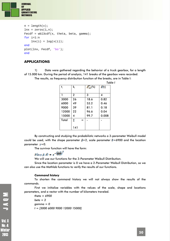

```
n = length(x);lnx = zeros(1, n);Fecdf = wbl3cdf(x, theta, beta, gamma);for i=1:n 
    lnx(i) = log(x(i));end
plot(lnx, Fecdf, 'bo'); 
end
```
#### **APPLICATIONS**

1) Data were gathered regarding the behavior of a truck gearbox, for a length of 15.000 km. During the period of analysis, 141 breaks of the gearbox were recorded.

The results, as frequency distribution function of the breaks, are in Table I:

|       |              |     |                             |                | Table I |
|-------|--------------|-----|-----------------------------|----------------|---------|
| $t_i$ | $k_i$        |     | $F_{\text{f},\text{g}}(\%)$ | $\hat{R}(t_i)$ |         |
|       |              |     |                             |                |         |
|       | $\mathbf{2}$ |     | 3                           | 4              |         |
| 3000  | 26           |     | 18.6                        | 0.82           |         |
| 6000  | 49           |     | 53.2                        | 0.46           |         |
| 9000  | 39           |     | 81.1                        | 0.18           |         |
| 12000 | 22           |     | 96.6                        | 0.04           |         |
| 15000 | 4            |     | 99.7                        | 0.008          |         |
| Total | Σ            | $=$ |                             |                |         |
|       |              |     |                             |                |         |
|       | 141          |     |                             |                |         |

By constructing and studying the probabilistic networks a 3-parameter Weibull model could be used, with the shape parameter  $\beta = 2$ , scale parameter  $\beta = 6900$  and the location parameter  $y=0$ .

The survivor function will have the form:

$$
R(t, y, \beta, \theta) = e^{-\left(\frac{t - \theta}{6000}\right)^2}
$$

We will use our functions for the 3-Parameter Weibull Distribution.

Since the location parameter is 0 we have a 2-Parameter Weibull Distribution, so we can also use the Mathlab functions to verify the results of our functions.

#### *Command history*

To shorten the command history we will not always show the results of the commands.

First we initialize variables with the values of the scale, shape and locations parameters, and a vector with the number of kilometers traveled.

*theta = 6900 beta = 2 gamma = 0 t = [3000 6000 9000 12000 15000]* 

**Vol. 8** No. 4 **Ninter** 2013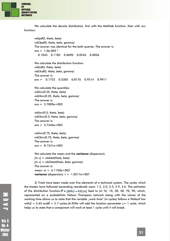

We calculate the density distribution, first with the Mathlab function, then with our function:

```
wblpdf(t, theta, beta) 
wbl3pdf(t, theta, beta, gamma) 
The answer was identical for the both queries. The answer is: 
ans = 1.0e-003 * 
   0.1043 0.1183 0.0690 0.0245 0.0056 
We calculate the distribution function:
wblcdf(t, theta, beta) 
wbl3cdf(t, theta, beta, gamma) 
The answer is: 
ans = 0.1722 0.5305 0.8176 0.9514 0.9911 
We calculate the quantiles: 
wblinv(0.25, theta, beta) 
wbl3inv(0.25, theta, beta, gamma) 
The answer is: 
ans = 3.7009e+003 
wblinv(0.5, theta, beta) 
wbl3inv(0.5, theta, beta, gamma) 
The answer is: 
ans = 5.7446e+003 
wblinv(0.75, theta, beta) 
wbl3inv(0.75, theta, beta, gamma) 
The answer is: 
ans = 8.1241e+003 
We calculate the mean and the variance (dispersion): 
[m v] = wblstat(theta, beta) 
[m v] = wbl3stat(theta, beta, gamma) 
The answer is: 
mean: m = 6.1150e+003
```
**variance** (dispersion): *v* = 1.0217e+007

2) Trials have been made over five elements of a technical system. The cycles which the breaks have followed (ascending reordered) were: 1.2, 2.0, 2.5, 2.9, 3.6. The estimator of the distribution function:  $\hat{E} = [100(3 - 0.5)/n]$  lead to (in %): 10, 30, 50, 70, 90, which, represented on a probabilistic Nelson Thompson network along with the values of the working time allows us to state that the variable "work time" (in cycles) follows a Weibull law with  $\hat{\beta} = 2.65$  and  $\hat{\beta} = 2.7$  cycles. (A.9) We will add the location parameter  $\gamma = 1$  cycle, which helps us to state that a component will work at least 1 cycle until it will break.

**Vol. 8** 

Winter 2018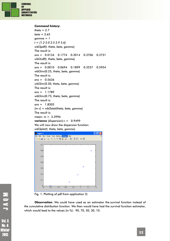

#### *Command history***:**

```
theta = 2.7 
beta = 2.65 
gamma = 1 
t = [1.2 2.0 2.5 2.9 3.6] 
wbl3pdf(t, theta, beta, gamma) 
The result is: 
ans = 0.0134 0.1774 0.3014 0.3706 0.3731 
wbl3cdf(t, theta, beta, gamma) 
The result is: 
ans = 0.0010 0.0694 0.1899 0.3257 0.5954 
wbl3inv(0.25, theta, beta, gamma) 
The result is: 
ans = 0.5636
wbl3inv(0.50, theta, beta, gamma) 
The result is: 
ans = 1.1789 
wbl3inv(0.75, theta, beta, gamma) 
The result is: 
ans = 1.8303 
[m v] = wbl3stat(theta, beta, gamma) 
The result is: 
mean: m = 3.3996 
variance (dispersion):v = 0.9499 
We will now draw the dispersion function: 
wbl3plot(t, theta, beta, gamma)
```


Fig. 1. Plotting of pdf from application 2)

**Observation**. We could have used as an estimator the *survival function instead of the* cumulative *distribution function*. We then would have had the survival function estimator, which would lead to the values (in %): 90, 70, 50, 30, 10.

**Vol. 8** Nn. 4 Winter 2018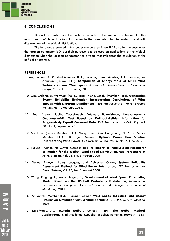

#### **6. CONCLUSIONS**

This article treats more the probabilistic side of the Weibull distribution, for this reason we don't have functions that estimate the parameters for the scaled model with displacement of the Weibull distribution.

The functions presented in this paper can be used in MATLAB also for the case when the location parameter is 0, but their purpose is to be used on applications of the Weibull distribution when the location parameter has a value that influences the calculation of the pdf, cdf or quantile.

#### **REFERENCES**

- 1. Ani, Samuel O., (Student Member, IEEE), Polinder, Henk (Member, IEEE), Ferreira, Jan Abraham (Fellow, IEEE), **Comparison of Energy Yield of Small Wind Turbines in Low Wind Speed Areas**, *IEEE Transactions on Sustainable Energy*, Vol. 4, No. 1, January 2013.
- 10. Qin, Zhilong, Li, Wenyuan (Fellow, IEEE), Xiong, Xiaofu (Member, IEEE), **Generation System Reliability Evaluation Incorporating Correlations of Wind Speeds With Different Distributions**, *IEEE Transactions on Power Systems*, Vol. 28, No. 1, February 2013.
- 11. Rad, Arezou Habibi, Yousefzadeh, Fatemeh, Balakrishnan, Narayanaswamy, **Goodness-of-Fit Test Based on Kullback-Leibler Information for Progressively Type-II Censored Data**, *IEEE Transactions on Reliability*, Vol. 60, No. 3, September 2011.
- 12. Shi, Libao (Senior Member, IEEE), Wang, Chen, Yao, Liangzhong, Ni, Yixin, (Senior Member, IEEE), Bazargan, Masoud, **Optimal Power Flow Solution Incorporating Wind Power**, *IEEE Systems Journal*, Vol. 6, No. 2, June 2012.
- 13. Tuzuner, Akiner, Yu, Zuwei (Member IEEE), **A Theoretical Analysis on Parameter Estimation for the Weibull Wind Speed Distribution**, *IEEE Transactions on Power Systems*, Vol. 23, No. 3, August 2008.
- 14. Vallée, François, Lobry, Jacques, and Deblecker Olivier, **System Reliability Assessment Method for Wind Power Integration**, *IEEE Transactions on Power Systems*, Vol. 23, No. 3, August 2008.
- 15. Wang, Ruigang, Li, Wenyi, Bagen, B., **Development of Wind Speed Forecasting Model Based on the Weibull Probability Distribution**, *International Conference on Computer Distributed Control and Intelligent Environmental Monitoring*, 2011.
- 16. Yu, Zuwei (Member IEEE), Tuzuner, Akiner, **Wind Speed Modeling and Energy Production Simulation with Weibull Sampling**, *IEEE PES General Meeting,* 2008.
- 17. Isaic-Maniu, Al., **"Metoda Weibull. Aplicaţii" (EN: "The Weibull Method. Applications")**, Ed. Academiei Republicii Socialiste România, Bucureşti, 1983

MONT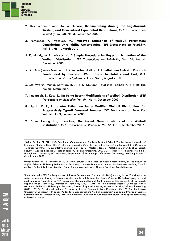

1

- 2. Dey, Arabin Kumar, Kundu, Debasis, **Discriminating Among the Log-Normal, Weibull, and Generalized Exponential Distributions**, *IEEE Transactions on Reliability*, Vol. 58, No. 3, September 2009.
- 3. Fernández, A., Vázquez, M., **Improved Estimation of Weibull Parameters Considering Unreliability Uncertainties**, *IEEE Transactions on Reliability*, Vol. 61, No. 1, March 2012.
- 4. Kaminskiy, M. P., Krivtsov, V., **A Simple Procedure for Bayesian Estimation of the Weibull Distribution**, *IEEE Transactions on Reliability*, Vol. 54, No. 4, December 2005.
- 5. Liu, Xian (Senior Member, IEEE), Xu, Wilsun (Fellow, IEEE), **Minimum Emission Dispatch Constrained by Stochastic Wind Power Availability and Cost**, *IEEE Transactions on Power Systems*, Vol. 25, No. 3, August 2010.
- 6. MathWorks, Matlab Software R2011b (7.13.0.564), Statistics Toolbox V7.6 (R2011b), Weibull Distribution.
- 7. Nadarajah, S., Kotz, S., **On Some Recent Modifications of Weibull Distribution**, *IEEE Transactions on Reliability*, Vol. 54, No. 4, December 2005.
- 8. Ng, H. K. T., **Parameter Estimation for a Modified Weibull Distribution, for Progressively Type-II Censored Samples**, *IEEE Transactions on Reliability*, Vol. 54, No. 3, September 2005.
- 9. Pham, Hoang, Lai, Chin-Diew, **On Recent Generalizations of the Weibull Distribution**, *IEEE Transactions on Reliability*, Vol. 56, No. 3, September 2007.

<sup>&</sup>lt;sup>1</sup>Stefan Cristian CIUCU is PhD Candidate, Cybernetics and Statistics Doctoral School, The Bucharest University of Economics Studies - Thesis title: Creșterea economică a țărilor în curs de tranziție – O analiză cantitativă (Growth in Transition Countries - A quantitative analysis). 2011-2013 - Master's degree - Politehnica University of Bucharest, Faculty of Applied Sciences, Models of decision, risk and forecasting. 2007-2011 - Bachelor of Engineering (B.E.) / IT Engineer - University of Bucharest, Department of Technology, Information Technology. Working in the IT domain since 2009.

<sup>2</sup>Mihai REBENCIUC is currently (in 2014), PhD Lecturer of the Dept. of Applied Mathematics, at The Faculty of Applied Sciences, University Politehnica of Bucharest, Romania. Domains of interest: Mathematical analysis, Fractals analysis, Probability theory, Statistics, Game Theory, Algebraic logic, General Topology, Rough Systems.

<sup>3</sup>Ionut Alexandru PETRE is Programmer, Software Development. Currently (in 2014) working in the IT business as a software developer having collaborations with people mainly from the US and Canada. He is developing backend applications in Node JS or in PHP frameworks like SugarCRM and Zend. Studied at the University of Bucharest, Department of Technology, Information Technology (2007 - 2011) for the Bachelor degree. Continued with a Masters at Politehnica University of Bucharest, Faculty of Applied Sciences, Models of decision, risk and forecasting (2011 - 2013). Participated and won 2<sup>nd</sup> prize at Science Communications Conference May 2012 at Politehnica University of Bucharest with paper "Addenda to Exponential and Weibull distribution" and again 2<sup>nd</sup> prize at Science Communications Conference May 2013 at Politehnica University of Bucharest with paper "Wind speed forecasting with Markov chains".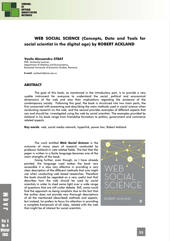

# **WEB SOCIAL SCIENCE (Concepts, Data and Tools for social scientist in the digital age) by ROBERT ACKLAND**

#### **Vasile Alecsandru STRAT**

PhD, University Lecturer, Department of Statistics and Econometrics, Bucharest University of Economic Studies, Romania

**E-mail**: vasilestrat@csie.ase.ro

#### **ABSTRACT**

The goal of this book, as mentioned in the introductory part, is to provide a very usable instrument for everyone to understand the social, political and economical dimensions of the web and also their implications regarding the existence of the contemporary society. Following this goal, the book is structured into two main parts, the first concerned with presenting and describing the main methods used in social science when conducting research on the web, and the second provides examples of different aspects that can and should be investigated using the web by social scientists. The examples provided by Ackland in his book range from friendship formation to politics, government and commerce related aspects.

**Key words**: web, social media network, hyperlink, power law; Robert Ackland

The work entitled *Web Social Science* is the outcome of many years of research conducted by professor Ackland in web related fields. The fact that the paper is written in a facile language becomes one of the main strengths of this book.

Going further, even though, as I have already pointed, the language used makes the book very accessible it is also very effective in providing a very clear description of the different methods that one might use when conducting web based researches. Therefore the book should be regarded as a very useful tool that describes how the web should be used by social scientists in order to shed some light over a wide range of questions that are still under debate. Still, some could find the approach as being simplistic due to the fact that the author does not provide very thorough descriptions of all the mentioned (described) methods and aspects, but instead, he prefers to focus his attention in providing a complete framework of all sides, related with the web that might be of interest for social scientists.

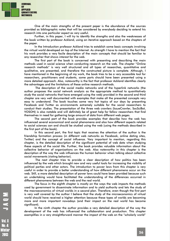

One of the main strengths of the present paper is the abundance of the sources provided as bibliographic notes that will be considered by everybody deciding to extend his research into one particular aspect as very useful.

Further, in this paper, I will try to identify the strengths and also the weaknesses of the book written by professor Ackland, using an iterative approach based on the chapters of the paper.

In the Introduction professor Ackland tries to establish some basic concepts involving the virtual world developed on top of the Internet. As strength I have to mention the fact that his work provides a very facile description of the main concepts that should be familiar to any researcher that shows interest for the web.

The first part of the book is concerned with presenting and describing the main methods used in social science when conducting research on the web. The chapter "Online research methods" is very well structured and all types of researches, quantitative and qualitative, are presented, and therefore the constructed picture is complete. Although, I have mentioned in the beginning of my work, the book tries to be a very accessible tool for researchers, practitioners and students, some parts should have been presented using a more detailed approach. Also, noteworthy is the fact that professor Ackland identifies clearly the advantages and the limitations of these online research methods.

 The description of the social media networks and of the hyperlink networks (the author proposes the social network analysis as the appropriate method to quantitatively study the social networks that have emerged using the web) provided in the second and third chapter are very well documented with examples that make all the presented concepts very easy to understand. The book touches some very hot topics of our days by presenting Facebook and Twitter as environments extremely suitable for the social researchers to conduct their studies. The presentation of the three web crawlers (IssueCrawler, SocSciBot, VOSON) is also notable and will definitely be of great help for fellow researchers that find themselves in need for gathering large amount of data from different web pages.

The second part of the book provides examples that describe how the web has influenced several economical and social phenomena and also how different aspects related to social sciences can and should be studied using the web (using the methods described in the first part of the book).

In this second part, the first topic that receives the attention of the author is the friendship formation process (in different web networks as Facebook, online dating sites, Twitter) and the concept of social influence. Very important to mention, regarding this chapter, is the detailed description of the significant potential of web data when studying these aspects of the social life. Further, the book provides valuable information about the collective behavior of organizations on the web. Also noteworthy in this chapter is the description of the way the web influences the human behavior when talking about collective social movements (rioting behavior).

 The next chapter tries to provide a clear description of how politics has been influenced by the web which brought new and very useful tools for increasing the visibility of political parties and other actors. The introduction to power laws from this chapter is very useful in order to provide a better understanding of how different phenomena occur on the web. Still, a more detailed description of power laws could have been provided because such an undertaking would have facilitated the understanding of the differences occurred in different phenomena between the web and the real world.

The focus in the eighth chapter is mostly on the ways the web impacts the methods used by government to disseminate information and to yield authority and lets the study of the macroeconomics of virtual worlds in a second plan. Therefore, even though the first part is very well covered by the author I believe that the study of the microeconomics of virtual world should have received a higher attention because these types of worlds are becoming more and more important nowadays (and their impact on the real world has become significant).

In the ninth chapter the author provides a very detailed description of the way the development of the web has influenced the collaboration and production. This chapter exemplifies in a very straightforward manner the impact of the web on the "scholarly world"

2018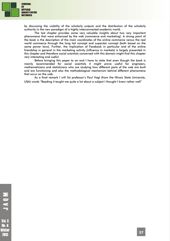

by discussing the visibility of the scholarly outputs and the distribution of the scholarly authority in the new paradigm of a highly interconnected academic world.

The last chapter provides some very valuable insights about two very important phenomena that were enhanced by the web (commerce and marketing). A strong point of the book is the description of the main coordinates of the online commerce versus the real world commerce through the long tail concept and superstar concept (both based on the same power laws). Further, the implication of Facebook in particular and of the online friendship in general in the marketing activity (influence in markets) is largely presented in this chapter and therefore social scientists concerned with this domain might find this chapter very interesting and useful.

Before bringing this paper to an end I have to state that even though the book is mainly recommended for social scientists it might prove useful for engineers, mathematicians and statisticians who are studying how different parts of the web are built and are functioning and also the methodological mechanism behind different phenomena that occur on the web.

As a final remark I will list professor's Paul Vogt (from the Illinois State University, USA) words "Reading it taught me quite a lot about a subject I thought I knew rather well"

MOVL

Vol. 8 No. 4 Winter 2013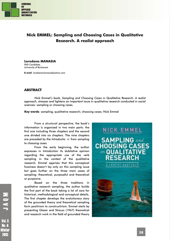

# **Nick EMMEL: Sampling and Choosing Cases in Qualitative Research. A realist approach**

**Loredana MANASIA**  PhD Candidate, University of Bucharest

**E-mail**: loredanamanasia@yahoo.com

#### **ABSTRACT**

Nick Emmel's book, *Sampling and Choosing Cases in Qualitative Research. A realist approach,* stresses and lightens an important issue in qualitative research conducted in social sciences: sampling or choosing cases.

**Key words**: sampling; qualitative research; choosing cases; Nick Emmel

From a structural perspective, the book's information is organized in two main parts: the first one including three chapters and the second one divided into six chapters. The nine chapters are preceded by the *Introductio n: from sampling to choosing cases.* 

From the early beginning, the author expresses in *Introduction* its dubitative opinion regarding the appropriate use of the verb sampling in the context of the qualitative research. Emmel apprises that this conceptual fuzziness doesn't lay only on this sampling issue but goes further on the three main cases of sampling: theoretical, purposeful and theoretical or purposive.

Based on the three traditions in qualitative research sampling, the author builds the first part of the book taking a lot of care for historical, methodological and conceptual details. The first chapter develops the evolutionary story of the grounded theory and theoretical sampling form positivism to constructivism. Emmel starts by presenting Glaser and Strauss (1967) theoretical and research work in the field of grounded theory